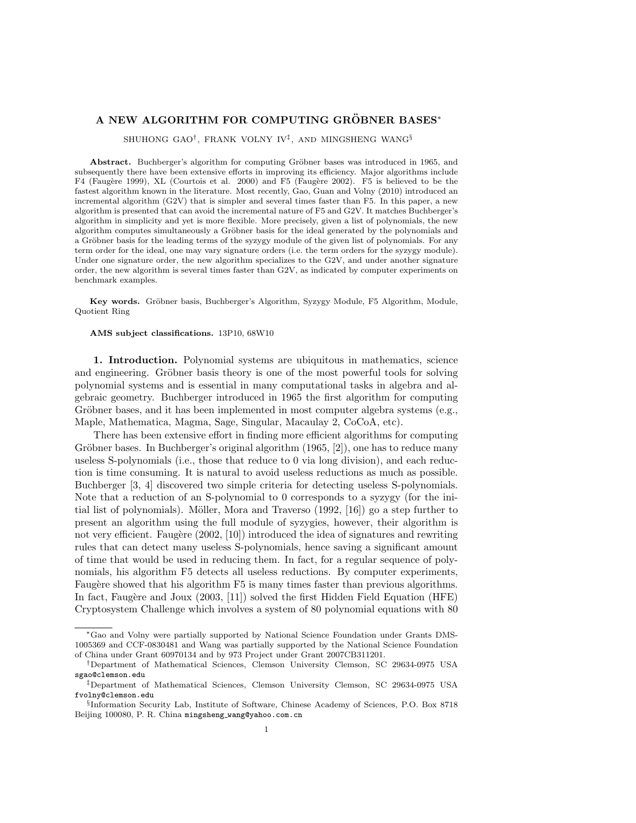## A NEW ALGORITHM FOR COMPUTING GRÖBNER BASES\*

SHUHONG GAO† , FRANK VOLNY IV‡ , AND MINGSHENG WANG§

Abstract. Buchberger's algorithm for computing Gröbner bases was introduced in 1965, and subsequently there have been extensive efforts in improving its efficiency. Major algorithms include F4 (Faugère 1999), XL (Courtois et al. 2000) and F5 (Faugère 2002). F5 is believed to be the fastest algorithm known in the literature. Most recently, Gao, Guan and Volny (2010) introduced an incremental algorithm (G2V) that is simpler and several times faster than F5. In this paper, a new algorithm is presented that can avoid the incremental nature of F5 and G2V. It matches Buchberger's algorithm in simplicity and yet is more flexible. More precisely, given a list of polynomials, the new algorithm computes simultaneously a Gröbner basis for the ideal generated by the polynomials and a Gröbner basis for the leading terms of the syzygy module of the given list of polynomials. For any term order for the ideal, one may vary signature orders (i.e. the term orders for the syzygy module). Under one signature order, the new algorithm specializes to the G2V, and under another signature order, the new algorithm is several times faster than G2V, as indicated by computer experiments on benchmark examples.

Key words. Gröbner basis, Buchberger's Algorithm, Syzygy Module, F5 Algorithm, Module, Quotient Ring

AMS subject classifications. 13P10, 68W10

1. Introduction. Polynomial systems are ubiquitous in mathematics, science and engineering. Gröbner basis theory is one of the most powerful tools for solving polynomial systems and is essential in many computational tasks in algebra and algebraic geometry. Buchberger introduced in 1965 the first algorithm for computing Gröbner bases, and it has been implemented in most computer algebra systems (e.g., Maple, Mathematica, Magma, Sage, Singular, Macaulay 2, CoCoA, etc).

There has been extensive effort in finding more efficient algorithms for computing Gröbner bases. In Buchberger's original algorithm  $(1965, [2])$ , one has to reduce many useless S-polynomials (i.e., those that reduce to 0 via long division), and each reduction is time consuming. It is natural to avoid useless reductions as much as possible. Buchberger [3, 4] discovered two simple criteria for detecting useless S-polynomials. Note that a reduction of an S-polynomial to 0 corresponds to a syzygy (for the initial list of polynomials). Möller, Mora and Traverso  $(1992, 16)$  go a step further to present an algorithm using the full module of syzygies, however, their algorithm is not very efficient. Faugère  $(2002, 10)$  introduced the idea of signatures and rewriting rules that can detect many useless S-polynomials, hence saving a significant amount of time that would be used in reducing them. In fact, for a regular sequence of polynomials, his algorithm F5 detects all useless reductions. By computer experiments, Faugère showed that his algorithm F5 is many times faster than previous algorithms. In fact, Faugère and Joux  $(2003, 111)$  solved the first Hidden Field Equation (HFE) Cryptosystem Challenge which involves a system of 80 polynomial equations with 80

<sup>∗</sup>Gao and Volny were partially supported by National Science Foundation under Grants DMS-1005369 and CCF-0830481 and Wang was partially supported by the National Science Foundation of China under Grant 60970134 and by 973 Project under Grant 2007CB311201.

<sup>†</sup>Department of Mathematical Sciences, Clemson University Clemson, SC 29634-0975 USA sgao@clemson.edu

<sup>‡</sup>Department of Mathematical Sciences, Clemson University Clemson, SC 29634-0975 USA fvolny@clemson.edu

<sup>§</sup> Information Security Lab, Institute of Software, Chinese Academy of Sciences, P.O. Box 8718 Beijing 100080, P. R. China mingsheng wang@yahoo.com.cn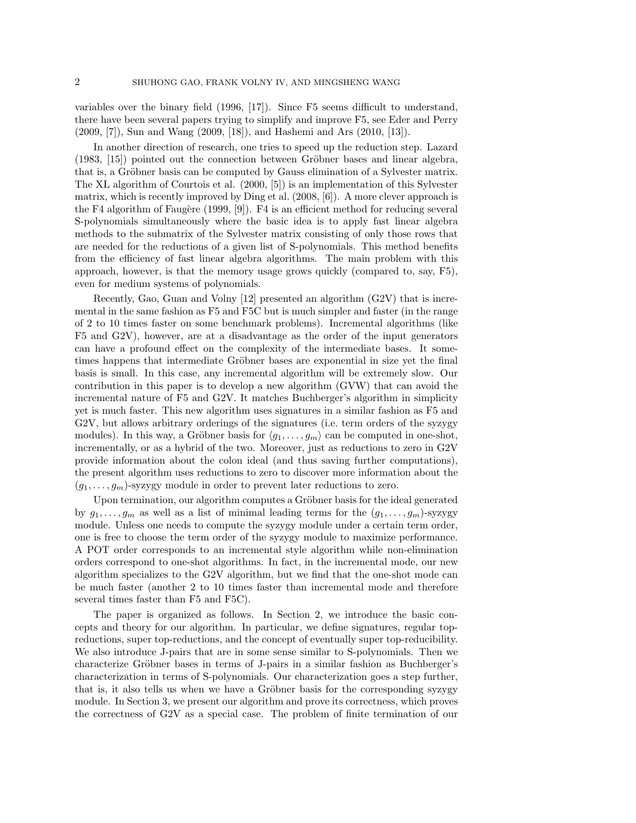variables over the binary field (1996, [17]). Since F5 seems difficult to understand, there have been several papers trying to simplify and improve F5, see Eder and Perry (2009, [7]), Sun and Wang (2009, [18]), and Hashemi and Ars (2010, [13]).

In another direction of research, one tries to speed up the reduction step. Lazard  $(1983, 15)$  pointed out the connection between Gröbner bases and linear algebra, that is, a Gröbner basis can be computed by Gauss elimination of a Sylvester matrix. The XL algorithm of Courtois et al. (2000, [5]) is an implementation of this Sylvester matrix, which is recently improved by Ding et al. (2008, [6]). A more clever approach is the F4 algorithm of Faugère (1999,  $[9]$ ). F4 is an efficient method for reducing several S-polynomials simultaneously where the basic idea is to apply fast linear algebra methods to the submatrix of the Sylvester matrix consisting of only those rows that are needed for the reductions of a given list of S-polynomials. This method benefits from the efficiency of fast linear algebra algorithms. The main problem with this approach, however, is that the memory usage grows quickly (compared to, say, F5), even for medium systems of polynomials.

Recently, Gao, Guan and Volny [12] presented an algorithm (G2V) that is incremental in the same fashion as F5 and F5C but is much simpler and faster (in the range of 2 to 10 times faster on some benchmark problems). Incremental algorithms (like F5 and G2V), however, are at a disadvantage as the order of the input generators can have a profound effect on the complexity of the intermediate bases. It sometimes happens that intermediate Gröbner bases are exponential in size yet the final basis is small. In this case, any incremental algorithm will be extremely slow. Our contribution in this paper is to develop a new algorithm (GVW) that can avoid the incremental nature of F5 and G2V. It matches Buchberger's algorithm in simplicity yet is much faster. This new algorithm uses signatures in a similar fashion as F5 and G2V, but allows arbitrary orderings of the signatures (i.e. term orders of the syzygy modules). In this way, a Gröbner basis for  $\langle g_1, \ldots, g_m \rangle$  can be computed in one-shot, incrementally, or as a hybrid of the two. Moreover, just as reductions to zero in G2V provide information about the colon ideal (and thus saving further computations), the present algorithm uses reductions to zero to discover more information about the  $(g_1, \ldots, g_m)$ -syzygy module in order to prevent later reductions to zero.

Upon termination, our algorithm computes a Gröbner basis for the ideal generated by  $g_1, \ldots, g_m$  as well as a list of minimal leading terms for the  $(g_1, \ldots, g_m)$ -syzygy module. Unless one needs to compute the syzygy module under a certain term order, one is free to choose the term order of the syzygy module to maximize performance. A POT order corresponds to an incremental style algorithm while non-elimination orders correspond to one-shot algorithms. In fact, in the incremental mode, our new algorithm specializes to the G2V algorithm, but we find that the one-shot mode can be much faster (another 2 to 10 times faster than incremental mode and therefore several times faster than F5 and F5C).

The paper is organized as follows. In Section 2, we introduce the basic concepts and theory for our algorithm. In particular, we define signatures, regular topreductions, super top-reductions, and the concept of eventually super top-reducibility. We also introduce J-pairs that are in some sense similar to S-polynomials. Then we characterize Gröbner bases in terms of J-pairs in a similar fashion as Buchberger's characterization in terms of S-polynomials. Our characterization goes a step further, that is, it also tells us when we have a Gröbner basis for the corresponding syzygy module. In Section 3, we present our algorithm and prove its correctness, which proves the correctness of G2V as a special case. The problem of finite termination of our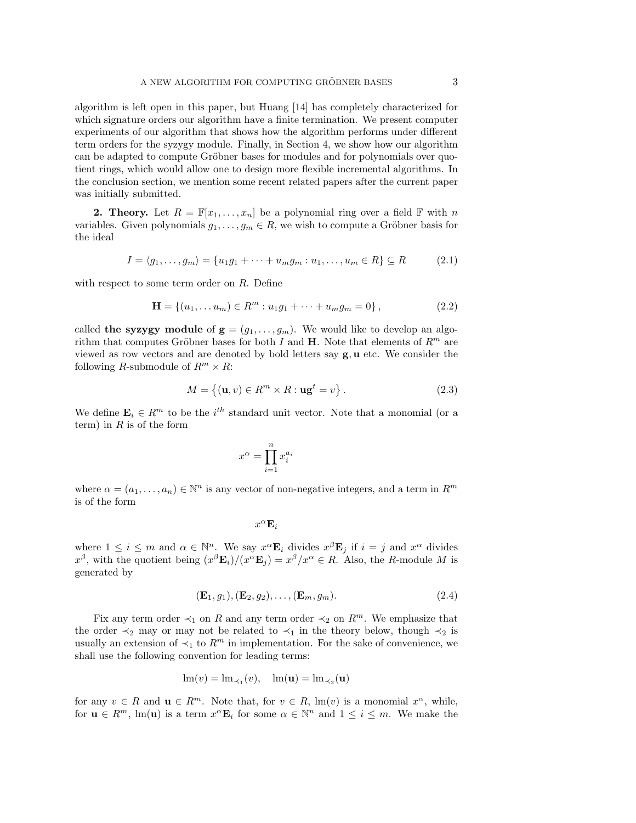algorithm is left open in this paper, but Huang [14] has completely characterized for which signature orders our algorithm have a finite termination. We present computer experiments of our algorithm that shows how the algorithm performs under different term orders for the syzygy module. Finally, in Section 4, we show how our algorithm can be adapted to compute Gröbner bases for modules and for polynomials over quotient rings, which would allow one to design more flexible incremental algorithms. In the conclusion section, we mention some recent related papers after the current paper was initially submitted.

**2. Theory.** Let  $R = \mathbb{F}[x_1, \ldots, x_n]$  be a polynomial ring over a field  $\mathbb{F}$  with n variables. Given polynomials  $g_1, \ldots, g_m \in R$ , we wish to compute a Gröbner basis for the ideal

$$
I = \langle g_1, \dots, g_m \rangle = \{ u_1 g_1 + \dots + u_m g_m : u_1, \dots, u_m \in R \} \subseteq R \tag{2.1}
$$

with respect to some term order on R. Define

$$
\mathbf{H} = \{ (u_1, \dots, u_m) \in R^m : u_1 g_1 + \dots + u_m g_m = 0 \},\tag{2.2}
$$

called the syzygy module of  $g = (g_1, \ldots, g_m)$ . We would like to develop an algorithm that computes Gröbner bases for both I and H. Note that elements of  $R^m$  are viewed as row vectors and are denoted by bold letters say  $g, u$  etc. We consider the following R-submodule of  $R^m \times R$ :

$$
M = \{ (\mathbf{u}, v) \in R^m \times R : \mathbf{u}\mathbf{g}^t = v \}.
$$
\n
$$
(2.3)
$$

We define  $\mathbf{E}_i \in \mathbb{R}^m$  to be the  $i^{th}$  standard unit vector. Note that a monomial (or a term) in  $R$  is of the form

$$
x^\alpha = \prod_{i=1}^n x_i^{a_i}
$$

where  $\alpha = (a_1, \ldots, a_n) \in \mathbb{N}^n$  is any vector of non-negative integers, and a term in  $R^m$ is of the form

 $x^{\alpha}$ **E**<sub>i</sub>

where  $1 \leq i \leq m$  and  $\alpha \in \mathbb{N}^n$ . We say  $x^{\alpha} \mathbf{E}_i$  divides  $x^{\beta} \mathbf{E}_j$  if  $i = j$  and  $x^{\alpha}$  divides  $x^{\beta}$ , with the quotient being  $(x^{\beta} \mathbf{E}_i)/(x^{\alpha} \mathbf{E}_j) = x^{\beta}/x^{\alpha} \in R$ . Also, the R-module M is generated by

$$
(\mathbf{E}_1, g_1), (\mathbf{E}_2, g_2), \dots, (\mathbf{E}_m, g_m). \tag{2.4}
$$

Fix any term order  $\prec_1$  on R and any term order  $\prec_2$  on R<sup>m</sup>. We emphasize that the order  $\prec_2$  may or may not be related to  $\prec_1$  in the theory below, though  $\prec_2$  is usually an extension of  $\prec_1$  to  $R^m$  in implementation. For the sake of convenience, we shall use the following convention for leading terms:

$$
\operatorname{lm}(v) = \operatorname{lm}_{\prec_1}(v), \quad \operatorname{lm}(\mathbf{u}) = \operatorname{lm}_{\prec_2}(\mathbf{u})
$$

for any  $v \in R$  and  $u \in R^m$ . Note that, for  $v \in R$ ,  $\text{Im}(v)$  is a monomial  $x^{\alpha}$ , while, for  $\mathbf{u} \in R^m$ ,  $\text{Im}(\mathbf{u})$  is a term  $x^{\alpha} \mathbf{E}_i$  for some  $\alpha \in \mathbb{N}^n$  and  $1 \leq i \leq m$ . We make the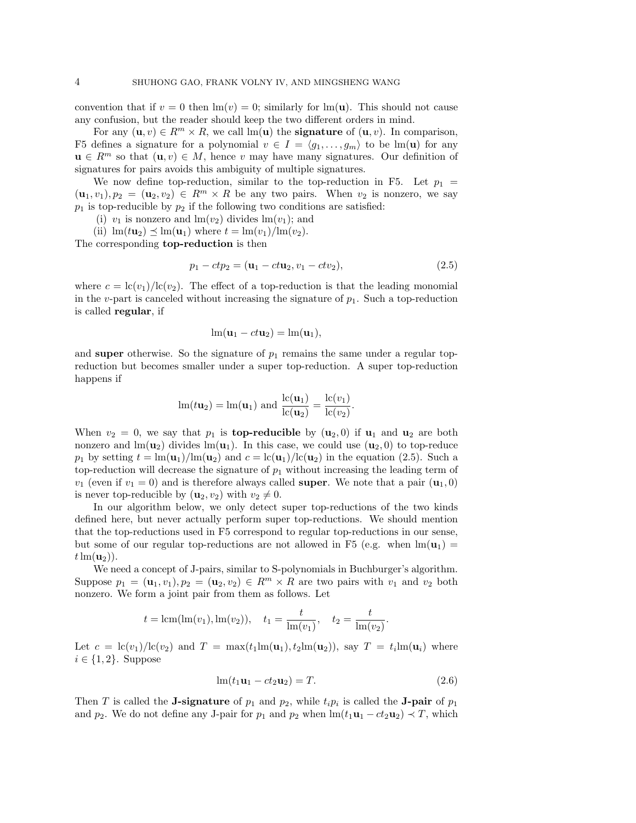convention that if  $v = 0$  then  $\text{Im}(v) = 0$ ; similarly for  $\text{Im}(u)$ . This should not cause any confusion, but the reader should keep the two different orders in mind.

For any  $(\mathbf{u}, v) \in R^m \times R$ , we call  $\text{Im}(\mathbf{u})$  the **signature** of  $(\mathbf{u}, v)$ . In comparison, F5 defines a signature for a polynomial  $v \in I = \langle g_1, \ldots, g_m \rangle$  to be lm(u) for any  $u \in R^m$  so that  $(u, v) \in M$ , hence v may have many signatures. Our definition of signatures for pairs avoids this ambiguity of multiple signatures.

We now define top-reduction, similar to the top-reduction in F5. Let  $p_1 =$  $(u_1, v_1), p_2 = (u_2, v_2) \in R^m \times R$  be any two pairs. When  $v_2$  is nonzero, we say  $p_1$  is top-reducible by  $p_2$  if the following two conditions are satisfied:

(i)  $v_1$  is nonzero and  $\text{Im}(v_2)$  divides  $\text{Im}(v_1)$ ; and

(ii)  $\text{Im}(t\mathbf{u}_2) \preceq \text{Im}(\mathbf{u}_1)$  where  $t = \text{Im}(v_1)/\text{Im}(v_2)$ .

The corresponding top-reduction is then

$$
p_1 - ctp_2 = (\mathbf{u}_1 - c t \mathbf{u}_2, v_1 - c t v_2),
$$
\n(2.5)

where  $c = \frac{\text{lc}(v_1)}{\text{lc}(v_2)}$ . The effect of a top-reduction is that the leading monomial in the v-part is canceled without increasing the signature of  $p_1$ . Such a top-reduction is called regular, if

$$
\operatorname{lm}(\mathbf{u}_1 - ct\mathbf{u}_2) = \operatorname{lm}(\mathbf{u}_1),
$$

and super otherwise. So the signature of  $p_1$  remains the same under a regular topreduction but becomes smaller under a super top-reduction. A super top-reduction happens if

$$
\operatorname{lm}(t\mathbf{u}_2) = \operatorname{lm}(\mathbf{u}_1) \text{ and } \frac{\operatorname{lc}(\mathbf{u}_1)}{\operatorname{lc}(\mathbf{u}_2)} = \frac{\operatorname{lc}(v_1)}{\operatorname{lc}(v_2)}.
$$

When  $v_2 = 0$ , we say that  $p_1$  is **top-reducible** by  $(\mathbf{u}_2, 0)$  if  $\mathbf{u}_1$  and  $\mathbf{u}_2$  are both nonzero and  $\text{Im}(\mathbf{u}_2)$  divides  $\text{Im}(\mathbf{u}_1)$ . In this case, we could use  $(\mathbf{u}_2, 0)$  to top-reduce  $p_1$  by setting  $t = \ln(u_1)/\ln(u_2)$  and  $c = \ln(u_1)/\ln(u_2)$  in the equation (2.5). Such a top-reduction will decrease the signature of  $p_1$  without increasing the leading term of  $v_1$  (even if  $v_1 = 0$ ) and is therefore always called **super**. We note that a pair  $(\mathbf{u}_1, 0)$ is never top-reducible by  $(\mathbf{u}_2, v_2)$  with  $v_2 \neq 0$ .

In our algorithm below, we only detect super top-reductions of the two kinds defined here, but never actually perform super top-reductions. We should mention that the top-reductions used in F5 correspond to regular top-reductions in our sense, but some of our regular top-reductions are not allowed in F5 (e.g. when  $\text{Im}(\mathbf{u}_1)$ )  $t \ln(\mathbf{u}_2)$ .

We need a concept of J-pairs, similar to S-polynomials in Buchburger's algorithm. Suppose  $p_1 = (\mathbf{u}_1, v_1), p_2 = (\mathbf{u}_2, v_2) \in R^m \times R$  are two pairs with  $v_1$  and  $v_2$  both nonzero. We form a joint pair from them as follows. Let

$$
t = \text{lcm}(\text{lm}(v_1), \text{lm}(v_2)), \quad t_1 = \frac{t}{\text{lm}(v_1)}, \quad t_2 = \frac{t}{\text{lm}(v_2)}.
$$

Let  $c = \frac{lc(v_1)}{lc(v_2)}$  and  $T = \max(t_1 \text{Im}(\mathbf{u}_1), t_2 \text{Im}(\mathbf{u}_2))$ , say  $T = t_i \text{Im}(\mathbf{u}_i)$  where  $i \in \{1,2\}$ . Suppose

$$
\operatorname{lm}(t_1 \mathbf{u}_1 - ct_2 \mathbf{u}_2) = T. \tag{2.6}
$$

Then T is called the **J-signature** of  $p_1$  and  $p_2$ , while  $t_i p_i$  is called the **J-pair** of  $p_1$ and  $p_2$ . We do not define any J-pair for  $p_1$  and  $p_2$  when  $\text{Im}(t_1\mathbf{u}_1 - ct_2\mathbf{u}_2) \prec T$ , which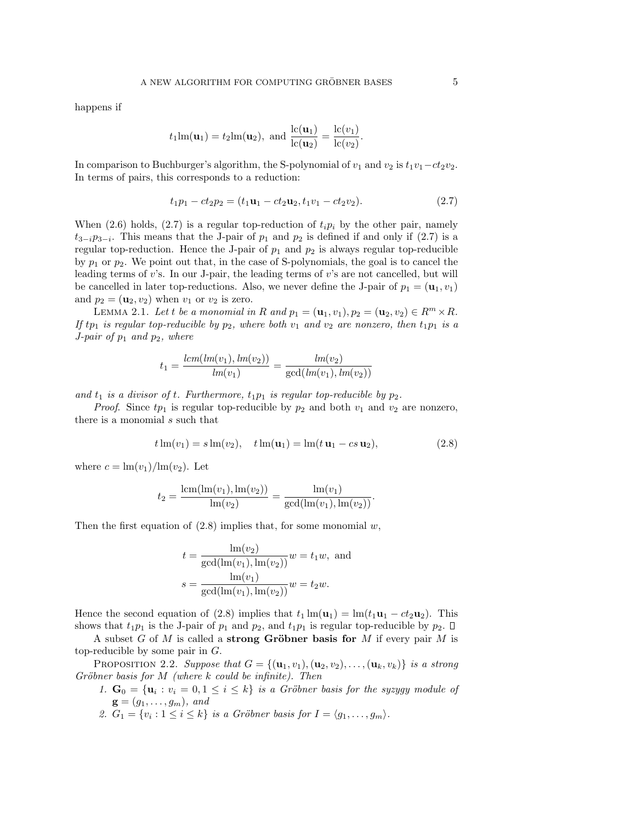happens if

$$
t_1 \text{lm}(\mathbf{u}_1) = t_2 \text{lm}(\mathbf{u}_2)
$$
, and  $\frac{\text{lc}(\mathbf{u}_1)}{\text{lc}(\mathbf{u}_2)} = \frac{\text{lc}(v_1)}{\text{lc}(v_2)}$ .

In comparison to Buchburger's algorithm, the S-polynomial of  $v_1$  and  $v_2$  is  $t_1v_1-ct_2v_2$ . In terms of pairs, this corresponds to a reduction:

$$
t_1p_1 - ct_2p_2 = (t_1u_1 - ct_2u_2, t_1v_1 - ct_2v_2). \tag{2.7}
$$

When (2.6) holds, (2.7) is a regular top-reduction of  $t_i p_i$  by the other pair, namely  $t_{3-i}p_{3-i}$ . This means that the J-pair of  $p_1$  and  $p_2$  is defined if and only if (2.7) is a regular top-reduction. Hence the J-pair of  $p_1$  and  $p_2$  is always regular top-reducible by  $p_1$  or  $p_2$ . We point out that, in the case of S-polynomials, the goal is to cancel the leading terms of  $v$ 's. In our J-pair, the leading terms of  $v$ 's are not cancelled, but will be cancelled in later top-reductions. Also, we never define the J-pair of  $p_1 = (\mathbf{u}_1, v_1)$ and  $p_2 = (\mathbf{u}_2, v_2)$  when  $v_1$  or  $v_2$  is zero.

LEMMA 2.1. Let t be a monomial in R and  $p_1 = (\mathbf{u}_1, v_1), p_2 = (\mathbf{u}_2, v_2) \in R^m \times R$ . If tp<sub>1</sub> is regular top-reducible by  $p_2$ , where both  $v_1$  and  $v_2$  are nonzero, then  $t_1p_1$  is a J-pair of  $p_1$  and  $p_2$ , where

$$
t_1 = \frac{lcm(lm(v_1), lm(v_2))}{lm(v_1)} = \frac{lm(v_2)}{\gcd(lm(v_1), lm(v_2))}
$$

and  $t_1$  is a divisor of t. Furthermore,  $t_1p_1$  is regular top-reducible by  $p_2$ .

*Proof.* Since  $tp_1$  is regular top-reducible by  $p_2$  and both  $v_1$  and  $v_2$  are nonzero, there is a monomial s such that

$$
t\ln(v_1) = s\ln(v_2), \quad t\ln(\mathbf{u}_1) = \ln(t\,\mathbf{u}_1 - cs\,\mathbf{u}_2), \tag{2.8}
$$

where  $c = \ln(v_1)/\ln(v_2)$ . Let

$$
t_2 = \frac{\text{lcm}(\text{lm}(v_1), \text{lm}(v_2))}{\text{lm}(v_2)} = \frac{\text{lm}(v_1)}{\text{gcd}(\text{lm}(v_1), \text{lm}(v_2))}.
$$

Then the first equation of  $(2.8)$  implies that, for some monomial w,

$$
t = \frac{\text{Im}(v_2)}{\text{gcd}(\text{Im}(v_1), \text{Im}(v_2))} w = t_1 w, \text{ and}
$$

$$
s = \frac{\text{Im}(v_1)}{\text{gcd}(\text{Im}(v_1), \text{Im}(v_2))} w = t_2 w.
$$

Hence the second equation of (2.8) implies that  $t_1 \text{Im}(\mathbf{u}_1) = \text{Im}(t_1 \mathbf{u}_1 - ct_2 \mathbf{u}_2)$ . This shows that  $t_1p_1$  is the J-pair of  $p_1$  and  $p_2$ , and  $t_1p_1$  is regular top-reducible by  $p_2$ .  $\Box$ 

A subset G of M is called a strong Gröbner basis for M if every pair M is top-reducible by some pair in  $G$ .

PROPOSITION 2.2. Suppose that  $G = \{(\mathbf{u}_1, v_1), (\mathbf{u}_2, v_2), \dots, (\mathbf{u}_k, v_k)\}\$ is a strong Gröbner basis for  $M$  (where k could be infinite). Then

- 1.  $\mathbf{G}_0 = {\mathbf{u}_i : v_i = 0, 1 \le i \le k}$  is a Gröbner basis for the syzygy module of  $\mathbf{g} = (g_1, \ldots, g_m)$ , and
- 2.  $G_1 = \{v_i : 1 \le i \le k\}$  is a Gröbner basis for  $I = \langle g_1, \ldots, g_m \rangle$ .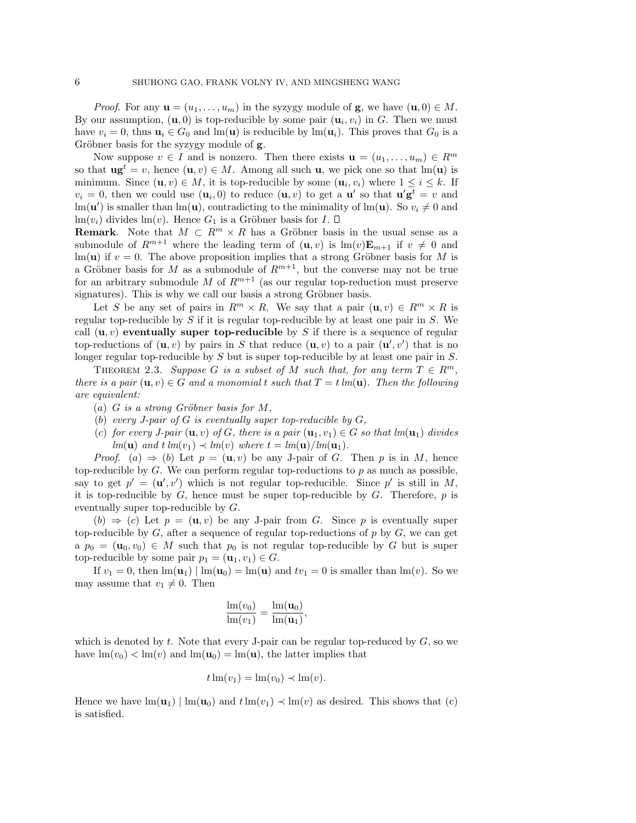*Proof.* For any  $\mathbf{u} = (u_1, \dots, u_m)$  in the syzygy module of **g**, we have  $(\mathbf{u}, 0) \in M$ . By our assumption,  $(\mathbf{u},0)$  is top-reducible by some pair  $(\mathbf{u}_i,v_i)$  in G. Then we must have  $v_i = 0$ , thus  $\mathbf{u}_i \in G_0$  and  $\text{Im}(\mathbf{u})$  is reducible by  $\text{Im}(\mathbf{u}_i)$ . This proves that  $G_0$  is a Gröbner basis for the syzygy module of **g**.

Now suppose  $v \in I$  and is nonzero. Then there exists  $\mathbf{u} = (u_1, \dots, u_m) \in R^m$ so that  $\mathbf{u}\mathbf{g}^t = v$ , hence  $(\mathbf{u}, v) \in M$ . Among all such  $\mathbf{u}$ , we pick one so that  $\text{Im}(\mathbf{u})$  is minimum. Since  $(\mathbf{u}, v) \in M$ , it is top-reducible by some  $(\mathbf{u}_i, v_i)$  where  $1 \leq i \leq k$ . If  $v_i = 0$ , then we could use  $(\mathbf{u}_i, 0)$  to reduce  $(\mathbf{u}, v)$  to get a  $\mathbf{u}'$  so that  $\mathbf{u}' \mathbf{g}^t = v$  and  $\text{Im}(\mathbf{u}')$  is smaller than  $\text{Im}(\mathbf{u})$ , contradicting to the minimality of  $\text{Im}(\mathbf{u})$ . So  $v_i \neq 0$  and lm $(v_i)$  divides lm $(v)$ . Hence  $G_1$  is a Gröbner basis for  $I$ .  $\Box$ 

**Remark.** Note that  $M \subset \mathbb{R}^m \times \mathbb{R}$  has a Gröbner basis in the usual sense as a submodule of  $R^{m+1}$  where the leading term of  $(\mathbf{u}, v)$  is  $\text{Im}(v)\mathbf{E}_{m+1}$  if  $v \neq 0$  and lm(u) if  $v = 0$ . The above proposition implies that a strong Gröbner basis for M is a Gröbner basis for M as a submodule of  $R^{m+1}$ , but the converse may not be true for an arbitrary submodule M of  $R^{m+1}$  (as our regular top-reduction must preserve signatures). This is why we call our basis a strong Gröbner basis.

Let S be any set of pairs in  $R^m \times R$ . We say that a pair  $(\mathbf{u}, v) \in R^m \times R$  is regular top-reducible by  $S$  if it is regular top-reducible by at least one pair in  $S$ . We call  $(\mathbf{u}, v)$  eventually super top-reducible by S if there is a sequence of regular top-reductions of  $(\mathbf{u}, v)$  by pairs in S that reduce  $(\mathbf{u}, v)$  to a pair  $(\mathbf{u}', v')$  that is no longer regular top-reducible by S but is super top-reducible by at least one pair in S.

THEOREM 2.3. Suppose G is a subset of M such that, for any term  $T \in \mathbb{R}^m$ , there is a pair  $(\mathbf{u}, v) \in G$  and a monomial t such that  $T = t \, lm(\mathbf{u})$ . Then the following are equivalent:

- (a) G is a strong Gröbner basis for  $M$ ,
- (b) every J-pair of  $G$  is eventually super top-reducible by  $G$ ,
- (c) for every J-pair  $(\mathbf{u}, v)$  of G, there is a pair  $(\mathbf{u}_1, v_1) \in G$  so that lm $(\mathbf{u}_1)$  divides lm(**u**) and  $t \, lm(v_1) \prec lm(v)$  where  $t = lm(\mathbf{u})/lm(\mathbf{u}_1)$ .

*Proof.* (a)  $\Rightarrow$  (b) Let  $p = (\mathbf{u}, v)$  be any J-pair of G. Then p is in M, hence top-reducible by  $G$ . We can perform regular top-reductions to p as much as possible, say to get  $p' = (\mathbf{u}', v')$  which is not regular top-reducible. Since p' is still in M, it is top-reducible by  $G$ , hence must be super top-reducible by  $G$ . Therefore,  $p$  is eventually super top-reducible by G.

 $(b) \Rightarrow (c)$  Let  $p = (\mathbf{u}, v)$  be any J-pair from G. Since p is eventually super top-reducible by  $G$ , after a sequence of regular top-reductions of p by  $G$ , we can get  $a p_0 = (\mathbf{u}_0, v_0) \in M$  such that  $p_0$  is not regular top-reducible by G but is super top-reducible by some pair  $p_1 = (\mathbf{u}_1, v_1) \in G$ .

If  $v_1 = 0$ , then  $\text{Im}(\mathbf{u}_1) | \text{Im}(\mathbf{u}_0) = \text{Im}(\mathbf{u})$  and  $tv_1 = 0$  is smaller than  $\text{Im}(v)$ . So we may assume that  $v_1 \neq 0$ . Then

$$
\frac{\mathrm{lm}(v_0)}{\mathrm{lm}(v_1)} = \frac{\mathrm{lm}(\mathbf{u}_0)}{\mathrm{lm}(\mathbf{u}_1)},
$$

which is denoted by  $t$ . Note that every J-pair can be regular top-reduced by  $G$ , so we have  $\text{Im}(v_0) < \text{Im}(v)$  and  $\text{Im}(\mathbf{u}_0) = \text{Im}(\mathbf{u})$ , the latter implies that

$$
t\operatorname{lm}(v_1) = \operatorname{lm}(v_0) \prec \operatorname{lm}(v).
$$

Hence we have  $\text{Im}(\mathbf{u}_1) | \text{Im}(\mathbf{u}_0)$  and  $t \text{Im}(v_1) \prec \text{Im}(v)$  as desired. This shows that (c) is satisfied.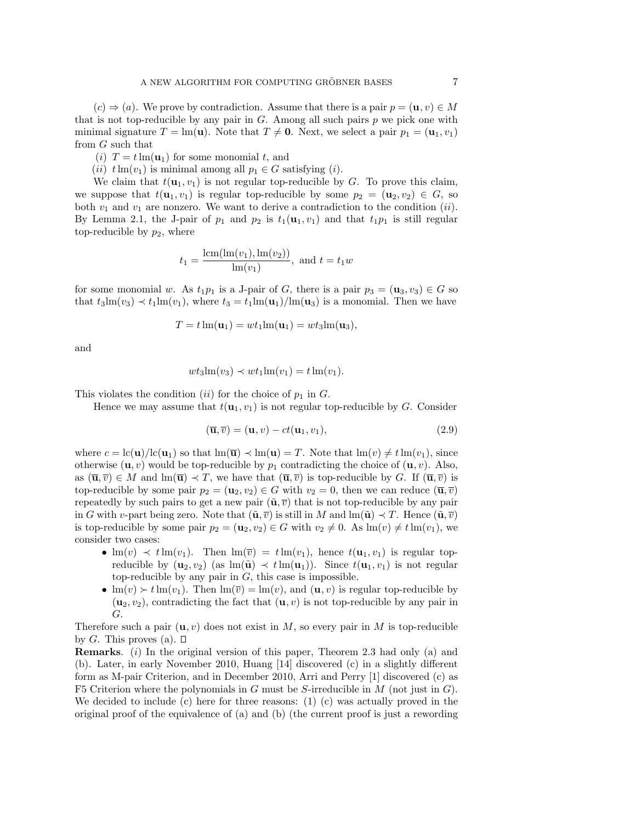$(c) \Rightarrow (a)$ . We prove by contradiction. Assume that there is a pair  $p = (\mathbf{u}, v) \in M$ that is not top-reducible by any pair in  $G$ . Among all such pairs  $p$  we pick one with minimal signature  $T = \text{Im}(\mathbf{u})$ . Note that  $T \neq \mathbf{0}$ . Next, we select a pair  $p_1 = (\mathbf{u}_1, v_1)$ from G such that

(*i*)  $T = t \text{Im}(\mathbf{u}_1)$  for some monomial t, and

(ii)  $t \text{Im}(v_1)$  is minimal among all  $p_1 \in G$  satisfying (i).

We claim that  $t(\mathbf{u}_1, v_1)$  is not regular top-reducible by G. To prove this claim, we suppose that  $t(\mathbf{u}_1, v_1)$  is regular top-reducible by some  $p_2 = (\mathbf{u}_2, v_2) \in G$ , so both  $v_1$  and  $v_1$  are nonzero. We want to derive a contradiction to the condition (ii). By Lemma 2.1, the J-pair of  $p_1$  and  $p_2$  is  $t_1(\mathbf{u}_1, v_1)$  and that  $t_1p_1$  is still regular top-reducible by  $p_2$ , where

$$
t_1 = \frac{\text{lcm}(\text{lm}(v_1), \text{lm}(v_2))}{\text{lm}(v_1)}, \text{ and } t = t_1w
$$

for some monomial w. As  $t_1p_1$  is a J-pair of G, there is a pair  $p_3 = (\mathbf{u}_3, v_3) \in G$  so that  $t_3\text{Im}(v_3) \prec t_1\text{Im}(v_1)$ , where  $t_3 = t_1\text{Im}(\mathbf{u}_1)/\text{Im}(\mathbf{u}_3)$  is a monomial. Then we have

$$
T = t \operatorname{lm}(\mathbf{u}_1) = wt_1 \operatorname{lm}(\mathbf{u}_1) = wt_3 \operatorname{lm}(\mathbf{u}_3),
$$

and

$$
wt_3\mathrm{lm}(v_3) \prec wt_1\mathrm{lm}(v_1) = t\mathrm{lm}(v_1).
$$

This violates the condition (ii) for the choice of  $p_1$  in  $G$ .

Hence we may assume that  $t(\mathbf{u}_1, v_1)$  is not regular top-reducible by G. Consider

$$
(\overline{\mathbf{u}}, \overline{v}) = (\mathbf{u}, v) - ct(\mathbf{u}_1, v_1),
$$
\n(2.9)

where  $c = \frac{\ln(u)}{\ln(u)}$  so that  $\ln(\overline{u}) \prec \ln(u) = T$ . Note that  $\ln(v) \neq t \ln(v_1)$ , since otherwise  $(\mathbf{u}, v)$  would be top-reducible by  $p_1$  contradicting the choice of  $(\mathbf{u}, v)$ . Also, as  $(\overline{\mathbf{u}}, \overline{v}) \in M$  and  $\text{lm}(\overline{\mathbf{u}}) \prec T$ , we have that  $(\overline{\mathbf{u}}, \overline{v})$  is top-reducible by G. If  $(\overline{\mathbf{u}}, \overline{v})$  is top-reducible by some pair  $p_2 = (\mathbf{u}_2, v_2) \in G$  with  $v_2 = 0$ , then we can reduce  $(\overline{\mathbf{u}}, \overline{v})$ repeatedly by such pairs to get a new pair  $(\tilde{\mathbf{u}}, \overline{v})$  that is not top-reducible by any pair in G with v-part being zero. Note that  $(\tilde{\mathbf{u}}, \overline{v})$  is still in M and  $\text{Im}(\tilde{\mathbf{u}}) \prec T$ . Hence  $(\tilde{\mathbf{u}}, \overline{v})$ is top-reducible by some pair  $p_2 = (\mathbf{u}_2, v_2) \in G$  with  $v_2 \neq 0$ . As  $\text{Im}(v) \neq t \text{Im}(v_1)$ , we consider two cases:

- $\text{Im}(v) \prec t \text{Im}(v_1)$ . Then  $\text{Im}(\overline{v}) = t \text{Im}(v_1)$ , hence  $t(\mathbf{u}_1, v_1)$  is regular topreducible by  $(\mathbf{u}_2, v_2)$  (as  $\text{Im}(\tilde{\mathbf{u}}) \prec t \text{Im}(\mathbf{u}_1)$ ). Since  $t(\mathbf{u}_1, v_1)$  is not regular top-reducible by any pair in  $G$ , this case is impossible.
- $\text{Im}(v) \succ t \text{Im}(v_1)$ . Then  $\text{Im}(\overline{v}) = \text{Im}(v)$ , and  $(\mathbf{u}, v)$  is regular top-reducible by  $(\mathbf{u}_2, v_2)$ , contradicting the fact that  $(\mathbf{u}, v)$  is not top-reducible by any pair in G.

Therefore such a pair  $(\mathbf{u}, v)$  does not exist in M, so every pair in M is top-reducible by G. This proves (a).  $\square$ 

Remarks. (i) In the original version of this paper, Theorem 2.3 had only (a) and (b). Later, in early November 2010, Huang [14] discovered (c) in a slightly different form as M-pair Criterion, and in December 2010, Arri and Perry [1] discovered (c) as F5 Criterion where the polynomials in G must be S-irreducible in  $M$  (not just in  $G$ ). We decided to include (c) here for three reasons: (1) (c) was actually proved in the original proof of the equivalence of (a) and (b) (the current proof is just a rewording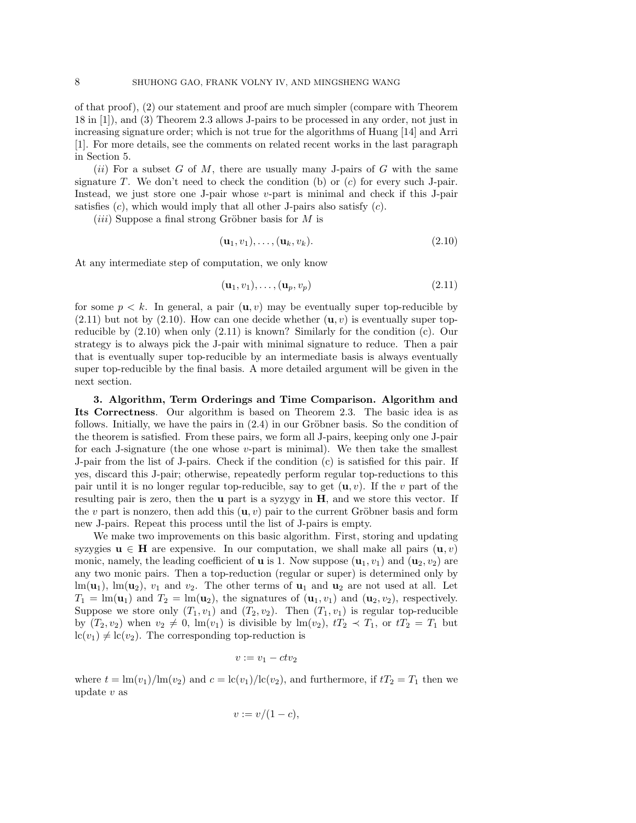of that proof), (2) our statement and proof are much simpler (compare with Theorem 18 in [1]), and (3) Theorem 2.3 allows J-pairs to be processed in any order, not just in increasing signature order; which is not true for the algorithms of Huang [14] and Arri [1]. For more details, see the comments on related recent works in the last paragraph in Section 5.

 $(ii)$  For a subset G of M, there are usually many J-pairs of G with the same signature  $T$ . We don't need to check the condition (b) or  $(c)$  for every such J-pair. Instead, we just store one J-pair whose v-part is minimal and check if this J-pair satisfies  $(c)$ , which would imply that all other J-pairs also satisfy  $(c)$ .

 $(iii)$  Suppose a final strong Gröbner basis for M is

$$
(\mathbf{u}_1, v_1), \dots, (\mathbf{u}_k, v_k). \tag{2.10}
$$

At any intermediate step of computation, we only know

$$
(\mathbf{u}_1, v_1), \dots, (\mathbf{u}_p, v_p) \tag{2.11}
$$

for some  $p \leq k$ . In general, a pair  $(\mathbf{u}, v)$  may be eventually super top-reducible by  $(2.11)$  but not by  $(2.10)$ . How can one decide whether  $(\mathbf{u}, v)$  is eventually super topreducible by (2.10) when only (2.11) is known? Similarly for the condition (c). Our strategy is to always pick the J-pair with minimal signature to reduce. Then a pair that is eventually super top-reducible by an intermediate basis is always eventually super top-reducible by the final basis. A more detailed argument will be given in the next section.

3. Algorithm, Term Orderings and Time Comparison. Algorithm and Its Correctness. Our algorithm is based on Theorem 2.3. The basic idea is as follows. Initially, we have the pairs in  $(2.4)$  in our Gröbner basis. So the condition of the theorem is satisfied. From these pairs, we form all J-pairs, keeping only one J-pair for each J-signature (the one whose  $v$ -part is minimal). We then take the smallest J-pair from the list of J-pairs. Check if the condition (c) is satisfied for this pair. If yes, discard this J-pair; otherwise, repeatedly perform regular top-reductions to this pair until it is no longer regular top-reducible, say to get  $(\mathbf{u}, v)$ . If the v part of the resulting pair is zero, then the u part is a syzygy in H, and we store this vector. If the v part is nonzero, then add this  $(\mathbf{u}, v)$  pair to the current Gröbner basis and form new J-pairs. Repeat this process until the list of J-pairs is empty.

We make two improvements on this basic algorithm. First, storing and updating syzygies  $u \in H$  are expensive. In our computation, we shall make all pairs  $(u, v)$ monic, namely, the leading coefficient of **u** is 1. Now suppose  $(\mathbf{u}_1, v_1)$  and  $(\mathbf{u}_2, v_2)$  are any two monic pairs. Then a top-reduction (regular or super) is determined only by  $\text{lm}(\mathbf{u}_1), \text{lm}(\mathbf{u}_2), v_1 \text{ and } v_2.$  The other terms of  $\mathbf{u}_1$  and  $\mathbf{u}_2$  are not used at all. Let  $T_1 = \text{Im}(\mathbf{u}_1)$  and  $T_2 = \text{Im}(\mathbf{u}_2)$ , the signatures of  $(\mathbf{u}_1, v_1)$  and  $(\mathbf{u}_2, v_2)$ , respectively. Suppose we store only  $(T_1, v_1)$  and  $(T_2, v_2)$ . Then  $(T_1, v_1)$  is regular top-reducible by  $(T_2, v_2)$  when  $v_2 \neq 0$ ,  $\text{Im}(v_1)$  is divisible by  $\text{Im}(v_2)$ ,  $tT_2 \prec T_1$ , or  $tT_2 = T_1$  but  $lc(v_1) \neq lc(v_2)$ . The corresponding top-reduction is

$$
v := v_1 - c t v_2
$$

where  $t = \ln(v_1)/\ln(v_2)$  and  $c = \ln(v_1)/\ln(v_2)$ , and furthermore, if  $tT_2 = T_1$  then we update v as

$$
v := v/(1-c),
$$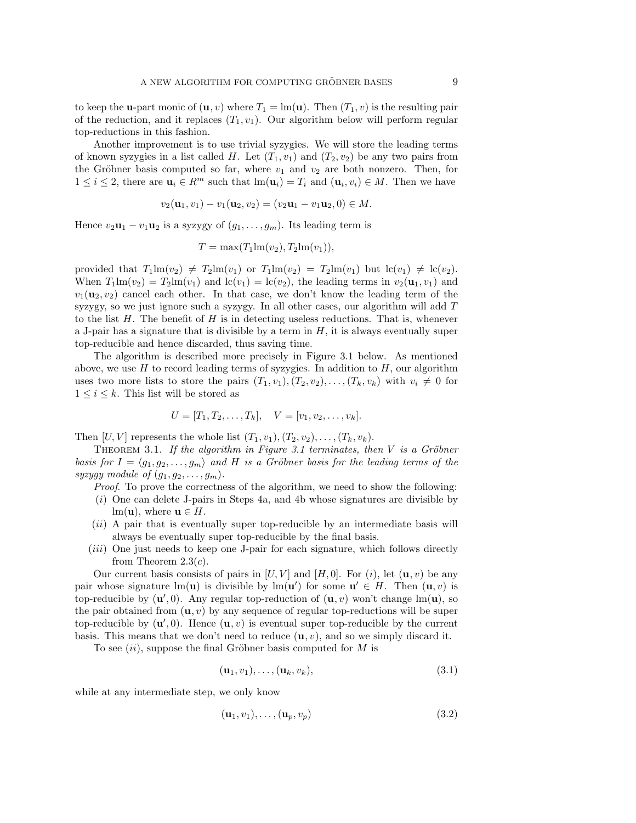to keep the **u**-part monic of  $(\mathbf{u}, v)$  where  $T_1 = \text{Im}(\mathbf{u})$ . Then  $(T_1, v)$  is the resulting pair of the reduction, and it replaces  $(T_1, v_1)$ . Our algorithm below will perform regular top-reductions in this fashion.

Another improvement is to use trivial syzygies. We will store the leading terms of known syzygies in a list called H. Let  $(T_1, v_1)$  and  $(T_2, v_2)$  be any two pairs from the Gröbner basis computed so far, where  $v_1$  and  $v_2$  are both nonzero. Then, for  $1 \leq i \leq 2$ , there are  $\mathbf{u}_i \in \mathbb{R}^m$  such that  $\text{Im}(\mathbf{u}_i) = T_i$  and  $(\mathbf{u}_i, v_i) \in M$ . Then we have

$$
v_2(\mathbf{u}_1, v_1) - v_1(\mathbf{u}_2, v_2) = (v_2 \mathbf{u}_1 - v_1 \mathbf{u}_2, 0) \in M.
$$

Hence  $v_2\mathbf{u}_1 - v_1\mathbf{u}_2$  is a syzygy of  $(g_1, \ldots, g_m)$ . Its leading term is

$$
T = \max(T_1 \text{Im}(v_2), T_2 \text{Im}(v_1)),
$$

provided that  $T_1\text{Im}(v_2) \neq T_2\text{Im}(v_1)$  or  $T_1\text{Im}(v_2) = T_2\text{Im}(v_1)$  but  $\text{lc}(v_1) \neq \text{lc}(v_2)$ . When  $T_1 \text{Im}(v_2) = T_2 \text{Im}(v_1)$  and  $\text{lc}(v_1) = \text{lc}(v_2)$ , the leading terms in  $v_2(\mathbf{u}_1, v_1)$  and  $v_1(\mathbf{u}_2, v_2)$  cancel each other. In that case, we don't know the leading term of the syzygy, so we just ignore such a syzygy. In all other cases, our algorithm will add T to the list  $H$ . The benefit of  $H$  is in detecting useless reductions. That is, whenever a J-pair has a signature that is divisible by a term in  $H$ , it is always eventually super top-reducible and hence discarded, thus saving time.

The algorithm is described more precisely in Figure 3.1 below. As mentioned above, we use  $H$  to record leading terms of syzygies. In addition to  $H$ , our algorithm uses two more lists to store the pairs  $(T_1, v_1), (T_2, v_2), \ldots, (T_k, v_k)$  with  $v_i \neq 0$  for  $1 \leq i \leq k$ . This list will be stored as

$$
U = [T_1, T_2, \dots, T_k], \quad V = [v_1, v_2, \dots, v_k].
$$

Then  $[U, V]$  represents the whole list  $(T_1, v_1), (T_2, v_2), \ldots, (T_k, v_k)$ .

THEOREM 3.1. If the algorithm in Figure 3.1 terminates, then  $V$  is a Gröbner basis for  $I = \langle g_1, g_2, \ldots, g_m \rangle$  and H is a Gröbner basis for the leading terms of the syzygy module of  $(g_1, g_2, \ldots, g_m)$ .

Proof. To prove the correctness of the algorithm, we need to show the following:

- (i) One can delete J-pairs in Steps 4a, and 4b whose signatures are divisible by  $lm(\mathbf{u})$ , where  $\mathbf{u} \in H$ .
- (ii) A pair that is eventually super top-reducible by an intermediate basis will always be eventually super top-reducible by the final basis.
- (iii) One just needs to keep one J-pair for each signature, which follows directly from Theorem  $2.3(c)$ .

Our current basis consists of pairs in  $[U, V]$  and  $[H, 0]$ . For  $(i)$ , let  $(\mathbf{u}, v)$  be any pair whose signature lm(**u**) is divisible by lm(**u**') for some  $\mathbf{u}' \in H$ . Then  $(\mathbf{u}, v)$  is top-reducible by  $(\mathbf{u}',0)$ . Any regular top-reduction of  $(\mathbf{u},v)$  won't change  $\text{lm}(\mathbf{u})$ , so the pair obtained from  $(\mathbf{u}, v)$  by any sequence of regular top-reductions will be super top-reducible by  $(\mathbf{u}',0)$ . Hence  $(\mathbf{u},v)$  is eventual super top-reducible by the current basis. This means that we don't need to reduce  $(\mathbf{u}, v)$ , and so we simply discard it.

To see  $(ii)$ , suppose the final Gröbner basis computed for M is

$$
(\mathbf{u}_1, v_1), \dots, (\mathbf{u}_k, v_k), \tag{3.1}
$$

while at any intermediate step, we only know

$$
(\mathbf{u}_1, v_1), \dots, (\mathbf{u}_p, v_p) \tag{3.2}
$$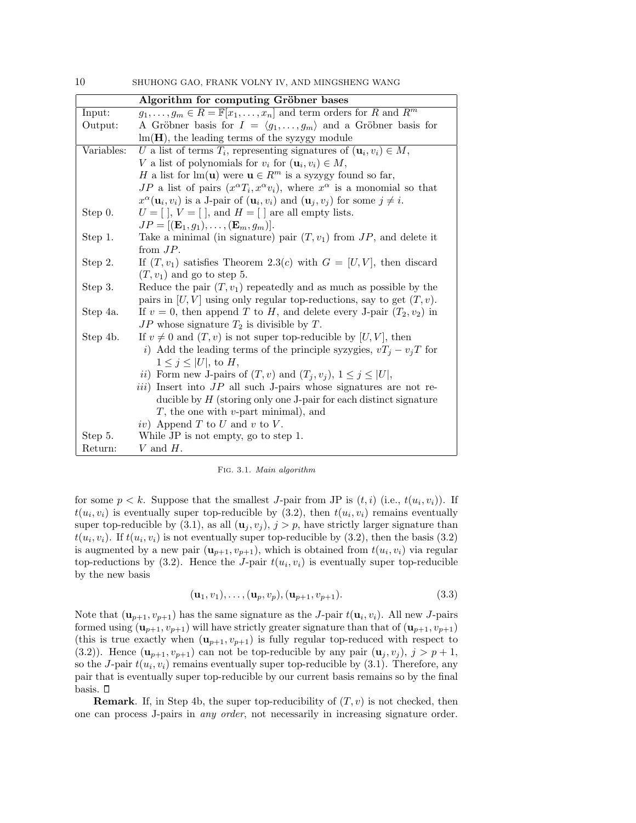|            | Algorithm for computing Gröbner bases                                                                                |
|------------|----------------------------------------------------------------------------------------------------------------------|
| Input:     | $g_1, \ldots, g_m \in R = \mathbb{F}[x_1, \ldots, x_n]$ and term orders for R and $R^m$                              |
| Output:    | A Gröbner basis for $I = \langle g_1, \ldots, g_m \rangle$ and a Gröbner basis for                                   |
|            | $\text{Im}(\mathbf{H})$ , the leading terms of the syzygy module                                                     |
| Variables: | U a list of terms $T_i$ , representing signatures of $(\mathbf{u}_i, v_i) \in M$ ,                                   |
|            | V a list of polynomials for $v_i$ for $(\mathbf{u}_i, v_i) \in M$ ,                                                  |
|            | H a list for $\text{Im}(\mathbf{u})$ were $\mathbf{u} \in R^m$ is a syzygy found so far,                             |
|            | JP a list of pairs $(x^{\alpha}T_i, x^{\alpha}v_i)$ , where $x^{\alpha}$ is a monomial so that                       |
|            | $x^{\alpha}(\mathbf{u}_i, v_i)$ is a J-pair of $(\mathbf{u}_i, v_i)$ and $(\mathbf{u}_j, v_j)$ for some $j \neq i$ . |
| Step 0.    | $U = [ \, ]$ , $V = [ \, ]$ , and $H = [ \, ]$ are all empty lists.                                                  |
|            | $JP = [(\mathbf{E}_1, g_1), \ldots, (\mathbf{E}_m, g_m)].$                                                           |
| Step 1.    | Take a minimal (in signature) pair $(T, v_1)$ from $JP$ , and delete it                                              |
|            | from $JP$ .                                                                                                          |
| Step 2.    | If $(T, v_1)$ satisfies Theorem 2.3(c) with $G = [U, V]$ , then discard                                              |
|            | $(T, v_1)$ and go to step 5.                                                                                         |
| Step 3.    | Reduce the pair $(T, v_1)$ repeatedly and as much as possible by the                                                 |
|            | pairs in $[U, V]$ using only regular top-reductions, say to get $(T, v)$ .                                           |
| Step 4a.   | If $v = 0$ , then append T to H, and delete every J-pair $(T_2, v_2)$ in                                             |
|            | $JP$ whose signature $T_2$ is divisible by T.                                                                        |
| Step 4b.   | If $v \neq 0$ and $(T, v)$ is not super top-reducible by $[U, V]$ , then                                             |
|            | <i>i</i> ) Add the leading terms of the principle syzygies, $vT_j - v_jT$ for                                        |
|            | $1 \leq j \leq  U $ , to H,                                                                                          |
|            | <i>ii</i> ) Form new J-pairs of $(T, v)$ and $(T_j, v_j)$ , $1 \leq j \leq  U $ ,                                    |
|            | <i>iii</i> ) Insert into $JP$ all such J-pairs whose signatures are not re-                                          |
|            | ducible by $H$ (storing only one J-pair for each distinct signature                                                  |
|            | $T$ , the one with <i>v</i> -part minimal), and                                                                      |
|            | iv) Append T to U and v to V.                                                                                        |
| Step 5.    | While JP is not empty, go to step 1.                                                                                 |
| Return:    | V and $H$ .                                                                                                          |

Fig. 3.1. Main algorithm

for some  $p < k$ . Suppose that the smallest *J*-pair from JP is  $(t, i)$  (i.e.,  $t(u_i, v_i)$ ). If  $t(u_i, v_i)$  is eventually super top-reducible by  $(3.2)$ , then  $t(u_i, v_i)$  remains eventually super top-reducible by (3.1), as all  $(\mathbf{u}_j, v_j)$ ,  $j > p$ , have strictly larger signature than  $t(u_i, v_i)$ . If  $t(u_i, v_i)$  is not eventually super top-reducible by  $(3.2)$ , then the basis  $(3.2)$ is augmented by a new pair  $(\mathbf{u}_{p+1}, v_{p+1})$ , which is obtained from  $t(u_i, v_i)$  via regular top-reductions by  $(3.2)$ . Hence the *J*-pair  $t(u_i, v_i)$  is eventually super top-reducible by the new basis

$$
(\mathbf{u}_1, v_1), \dots, (\mathbf{u}_p, v_p), (\mathbf{u}_{p+1}, v_{p+1}).
$$
 (3.3)

Note that  $(\mathbf{u}_{p+1}, v_{p+1})$  has the same signature as the *J*-pair  $t(\mathbf{u}_i, v_i)$ . All new *J*-pairs formed using  $(\mathbf{u}_{p+1}, v_{p+1})$  will have strictly greater signature than that of  $(\mathbf{u}_{p+1}, v_{p+1})$ (this is true exactly when  $(\mathbf{u}_{p+1}, v_{p+1})$  is fully regular top-reduced with respect to (3.2)). Hence  $(\mathbf{u}_{p+1}, v_{p+1})$  can not be top-reducible by any pair  $(\mathbf{u}_j, v_j), j > p+1$ , so the *J*-pair  $t(u_i, v_i)$  remains eventually super top-reducible by  $(3.1)$ . Therefore, any pair that is eventually super top-reducible by our current basis remains so by the final basis.  $\square$ 

**Remark**. If, in Step 4b, the super top-reducibility of  $(T, v)$  is not checked, then one can process J-pairs in any order, not necessarily in increasing signature order.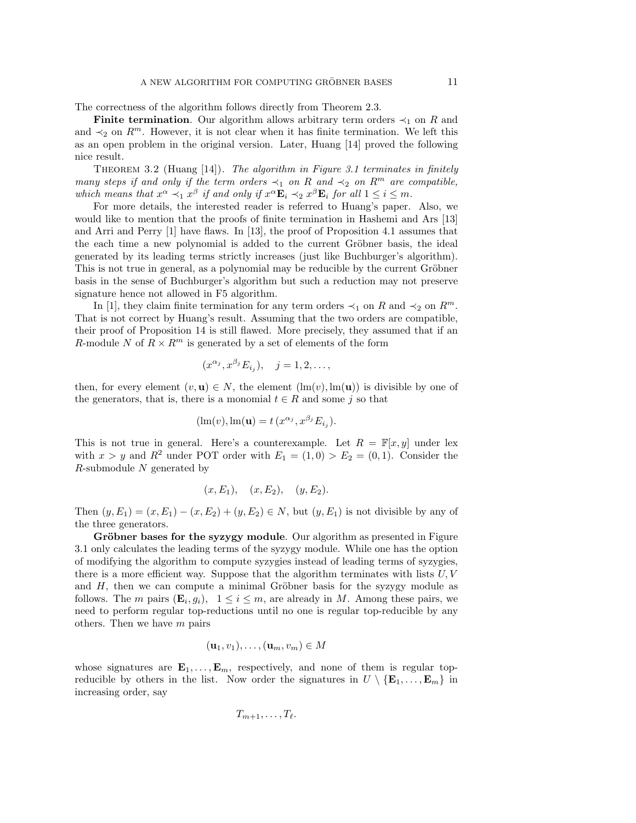The correctness of the algorithm follows directly from Theorem 2.3.

**Finite termination.** Our algorithm allows arbitrary term orders  $\prec_1$  on R and and  $\prec_2$  on  $R^m$ . However, it is not clear when it has finite termination. We left this as an open problem in the original version. Later, Huang [14] proved the following nice result.

THEOREM 3.2 (Huang  $[14]$ ). The algorithm in Figure 3.1 terminates in finitely many steps if and only if the term orders  $\prec_1$  on R and  $\prec_2$  on R<sup>m</sup> are compatible, which means that  $x^{\alpha} \prec_1 x^{\beta}$  if and only if  $x^{\alpha} \mathbf{E}_i \prec_2 x^{\beta} \mathbf{E}_i$  for all  $1 \leq i \leq m$ .

For more details, the interested reader is referred to Huang's paper. Also, we would like to mention that the proofs of finite termination in Hashemi and Ars [13] and Arri and Perry [1] have flaws. In [13], the proof of Proposition 4.1 assumes that the each time a new polynomial is added to the current Gröbner basis, the ideal generated by its leading terms strictly increases (just like Buchburger's algorithm). This is not true in general, as a polynomial may be reducible by the current Gröbner basis in the sense of Buchburger's algorithm but such a reduction may not preserve signature hence not allowed in F5 algorithm.

In [1], they claim finite termination for any term orders  $\prec_1$  on R and  $\prec_2$  on R<sup>m</sup>. That is not correct by Huang's result. Assuming that the two orders are compatible, their proof of Proposition 14 is still flawed. More precisely, they assumed that if an R-module N of  $R \times R^m$  is generated by a set of elements of the form

$$
(x^{\alpha_j}, x^{\beta_j}E_{i_j}), \quad j=1,2,\ldots,
$$

then, for every element  $(v, \mathbf{u}) \in N$ , the element  $(\text{lm}(v), \text{lm}(\mathbf{u}))$  is divisible by one of the generators, that is, there is a monomial  $t \in R$  and some j so that

$$
(\text{lm}(v), \text{lm}(\mathbf{u}) = t\left(x^{\alpha_j}, x^{\beta_j} E_{i_j}\right).
$$

This is not true in general. Here's a counterexample. Let  $R = \mathbb{F}[x, y]$  under lex with  $x > y$  and  $R^2$  under POT order with  $E_1 = (1,0) > E_2 = (0,1)$ . Consider the  $R$ -submodule  $N$  generated by

$$
(x, E_1), (x, E_2), (y, E_2).
$$

Then  $(y, E_1) = (x, E_1) - (x, E_2) + (y, E_2) \in N$ , but  $(y, E_1)$  is not divisible by any of the three generators.

Gröbner bases for the syzygy module. Our algorithm as presented in Figure 3.1 only calculates the leading terms of the syzygy module. While one has the option of modifying the algorithm to compute syzygies instead of leading terms of syzygies, there is a more efficient way. Suppose that the algorithm terminates with lists  $U, V$ and  $H$ , then we can compute a minimal Gröbner basis for the syzygy module as follows. The *m* pairs  $(\mathbf{E}_i, g_i)$ ,  $1 \leq i \leq m$ , are already in *M*. Among these pairs, we need to perform regular top-reductions until no one is regular top-reducible by any others. Then we have  $m$  pairs

$$
(\mathbf{u}_1, v_1), \dots, (\mathbf{u}_m, v_m) \in M
$$

whose signatures are  $\mathbf{E}_1, \ldots, \mathbf{E}_m$ , respectively, and none of them is regular topreducible by others in the list. Now order the signatures in  $U \setminus {\bf{E}_1, \ldots, E_m}$  in increasing order, say

$$
T_{m+1},\ldots,T_{\ell}.
$$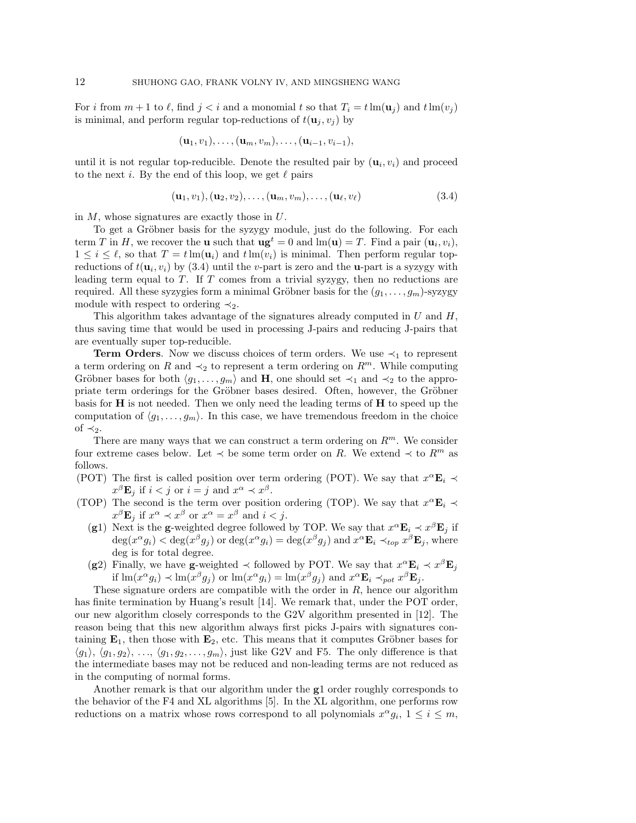For i from  $m + 1$  to  $\ell$ , find  $j < i$  and a monomial t so that  $T_i = t \operatorname{lm}(\mathbf{u}_j)$  and  $t \operatorname{lm}(v_j)$ is minimal, and perform regular top-reductions of  $t(\mathbf{u}_i, v_i)$  by

$$
(\mathbf{u}_1,v_1),\ldots,(\mathbf{u}_m,v_m),\ldots,(\mathbf{u}_{i-1},v_{i-1}),
$$

until it is not regular top-reducible. Denote the resulted pair by  $(\mathbf{u}_i, v_i)$  and proceed to the next i. By the end of this loop, we get  $\ell$  pairs

$$
(\mathbf{u}_1, v_1), (\mathbf{u}_2, v_2), \dots, (\mathbf{u}_m, v_m), \dots, (\mathbf{u}_\ell, v_\ell)
$$
\n
$$
(3.4)
$$

in  $M$ , whose signatures are exactly those in  $U$ .

To get a Gröbner basis for the syzygy module, just do the following. For each term T in H, we recover the **u** such that  $\mathbf{u}\mathbf{g}^t = 0$  and  $\text{Im}(\mathbf{u}) = T$ . Find a pair  $(\mathbf{u}_i, v_i)$ ,  $1 \leq i \leq \ell$ , so that  $T = t \operatorname{lm}(\mathbf{u}_i)$  and  $t \operatorname{lm}(v_i)$  is minimal. Then perform regular topreductions of  $t(\mathbf{u}_i, v_i)$  by (3.4) until the *v*-part is zero and the **u**-part is a syzygy with leading term equal to  $T$ . If  $T$  comes from a trivial syzygy, then no reductions are required. All these syzygies form a minimal Gröbner basis for the  $(g_1, \ldots, g_m)$ -syzygy module with respect to ordering  $\prec_2$ .

This algorithm takes advantage of the signatures already computed in  $U$  and  $H$ , thus saving time that would be used in processing J-pairs and reducing J-pairs that are eventually super top-reducible.

**Term Orders.** Now we discuss choices of term orders. We use  $\prec_1$  to represent a term ordering on R and  $\prec_2$  to represent a term ordering on  $R^m$ . While computing Gröbner bases for both  $\langle g_1, \ldots, g_m \rangle$  and H, one should set  $\prec_1$  and  $\prec_2$  to the appropriate term orderings for the Gröbner bases desired. Often, however, the Gröbner basis for  $H$  is not needed. Then we only need the leading terms of  $H$  to speed up the computation of  $\langle g_1, \ldots, g_m \rangle$ . In this case, we have tremendous freedom in the choice of  $\prec_2$ .

There are many ways that we can construct a term ordering on  $R^m$ . We consider four extreme cases below. Let  $\prec$  be some term order on R. We extend  $\prec$  to  $R^m$  as follows.

- (POT) The first is called position over term ordering (POT). We say that  $x^{\alpha} \mathbf{E}_i \prec$  $x^{\beta}$ **E**<sub>j</sub> if  $i < j$  or  $i = j$  and  $x^{\alpha} \prec x^{\beta}$ .
- (TOP) The second is the term over position ordering (TOP). We say that  $x^{\alpha} \mathbf{E}_i \prec$  $x^{\beta}$ **E**<sub>j</sub> if  $x^{\alpha} \prec x^{\beta}$  or  $x^{\alpha} = x^{\beta}$  and  $i < j$ .
	- (g1) Next is the g-weighted degree followed by TOP. We say that  $x^{\alpha} \mathbf{E}_i \prec x^{\beta} \mathbf{E}_j$  if  $\deg(x^{\alpha}g_i) < \deg(x^{\beta}g_j)$  or  $\deg(x^{\alpha}g_i) = \deg(x^{\beta}g_j)$  and  $x^{\alpha}E_i \prec_{top} x^{\beta}E_j$ , where deg is for total degree.
	- (g2) Finally, we have g-weighted  $\prec$  followed by POT. We say that  $x^{\alpha} \mathbf{E}_i \prec x^{\beta} \mathbf{E}_j$ if  $\text{Im}(x^{\alpha}g_i) \prec \text{Im}(x^{\beta}g_j)$  or  $\text{Im}(x^{\alpha}g_i) = \text{Im}(x^{\beta}g_j)$  and  $x^{\alpha} \mathbf{E}_i \prec_{pot} x^{\beta} \mathbf{E}_j$ .

These signature orders are compatible with the order in  $R$ , hence our algorithm has finite termination by Huang's result [14]. We remark that, under the POT order, our new algorithm closely corresponds to the G2V algorithm presented in [12]. The reason being that this new algorithm always first picks J-pairs with signatures containing  $\mathbf{E}_1$ , then those with  $\mathbf{E}_2$ , etc. This means that it computes Gröbner bases for  $\langle g_1 \rangle$ ,  $\langle g_1, g_2 \rangle$ , ...,  $\langle g_1, g_2, \ldots, g_m \rangle$ , just like G2V and F5. The only difference is that the intermediate bases may not be reduced and non-leading terms are not reduced as in the computing of normal forms.

Another remark is that our algorithm under the g1 order roughly corresponds to the behavior of the F4 and XL algorithms [5]. In the XL algorithm, one performs row reductions on a matrix whose rows correspond to all polynomials  $x^{\alpha}g_i$ ,  $1 \leq i \leq m$ ,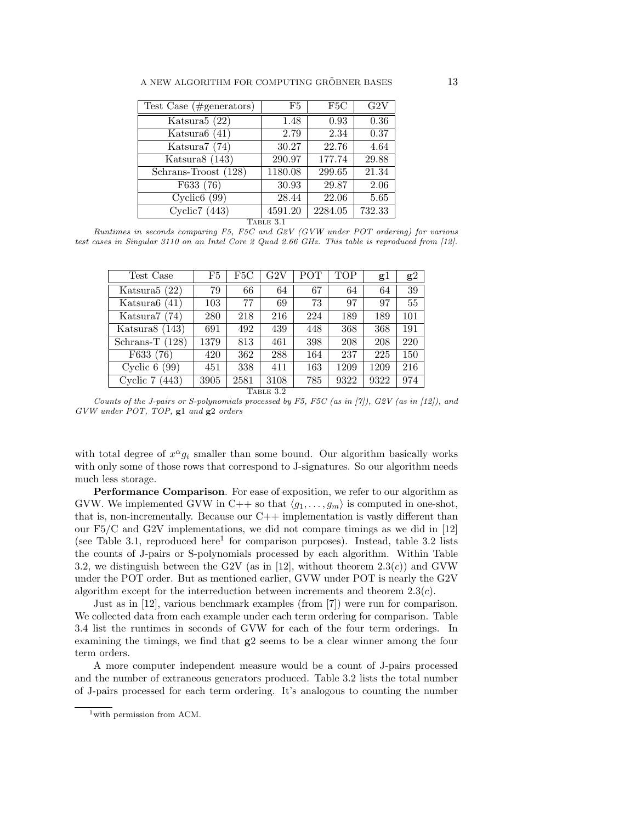| Test Case $(\#generators)$ | F5      | F5C     | G2V    |  |
|----------------------------|---------|---------|--------|--|
| Katsura $5(22)$            | 1.48    | 0.93    | 0.36   |  |
| Katsura $6(41)$            | 2.79    | 2.34    | 0.37   |  |
| Katsura7 (74)              | 30.27   | 22.76   | 4.64   |  |
| Katsura $8(143)$           | 290.97  | 177.74  | 29.88  |  |
| Schrans-Troost (128)       | 1180.08 | 299.65  | 21.34  |  |
| F633 (76)                  | 30.93   | 29.87   | 2.06   |  |
| Cyclic <sub>6</sub> $(99)$ | 28.44   | 22.06   | 5.65   |  |
| Cyclic7 $(443)$            | 4591.20 | 2284.05 | 732.33 |  |
| TABLE 3.1                  |         |         |        |  |

Runtimes in seconds comparing F5, F5C and G2V (GVW under POT ordering) for various test cases in Singular 3110 on an Intel Core 2 Quad 2.66 GHz. This table is reproduced from [12].

| Test Case         | F5   | F5C  | G2V  | POT | <b>TOP</b> | $_{\rm g1}$ | g2  |
|-------------------|------|------|------|-----|------------|-------------|-----|
| Katsura $5(22)$   | 79   | 66   | 64   | 67  | 64         | 64          | 39  |
| Katsura $6(41)$   | 103  | 77   | 69   | 73  | 97         | 97          | 55  |
| Katsura $7(74)$   | 280  | 218  | 216  | 224 | 189        | 189         | 101 |
| Katsura $8(143)$  | 691  | 492  | 439  | 448 | 368        | 368         | 191 |
| Schrans-T $(128)$ | 1379 | 813  | 461  | 398 | 208        | 208         | 220 |
| F633(76)          | 420  | 362  | 288  | 164 | 237        | 225         | 150 |
| Cyclic 6<br>(99)  | 451  | 338  | 411  | 163 | 1209       | 1209        | 216 |
| Cyclic 7<br>(443) | 3905 | 2581 | 3108 | 785 | 9322       | 9322        | 974 |
| TABLE 3.2         |      |      |      |     |            |             |     |

Counts of the J-pairs or S-polynomials processed by F5, F5C (as in [7]), G2V (as in [12]), and GVW under POT, TOP, g1 and g2 orders

with total degree of  $x^{\alpha}g_i$  smaller than some bound. Our algorithm basically works with only some of those rows that correspond to J-signatures. So our algorithm needs much less storage.

Performance Comparison. For ease of exposition, we refer to our algorithm as GVW. We implemented GVW in C++ so that  $\langle g_1, \ldots, g_m \rangle$  is computed in one-shot, that is, non-incrementally. Because our  $C++$  implementation is vastly different than our  $F5/C$  and G2V implementations, we did not compare timings as we did in [12] (see Table 3.1, reproduced here<sup>1</sup> for comparison purposes). Instead, table 3.2 lists the counts of J-pairs or S-polynomials processed by each algorithm. Within Table 3.2, we distinguish between the G2V (as in [12], without theorem  $2.3(c)$ ) and GVW under the POT order. But as mentioned earlier, GVW under POT is nearly the G2V algorithm except for the interreduction between increments and theorem  $2.3(c)$ .

Just as in [12], various benchmark examples (from [7]) were run for comparison. We collected data from each example under each term ordering for comparison. Table 3.4 list the runtimes in seconds of GVW for each of the four term orderings. In examining the timings, we find that  $g2$  seems to be a clear winner among the four term orders.

A more computer independent measure would be a count of J-pairs processed and the number of extraneous generators produced. Table 3.2 lists the total number of J-pairs processed for each term ordering. It's analogous to counting the number

 $1$ with permission from ACM.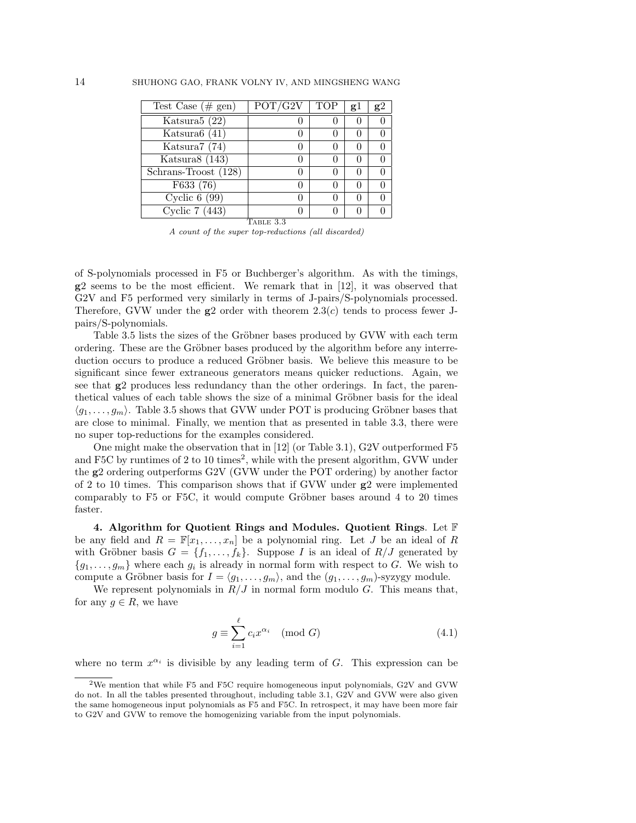| Test Case $(\# \text{ gen})$       | POT/G2V   | TOP | gl | g2 |
|------------------------------------|-----------|-----|----|----|
| Katsura5 (22)                      |           |     |    |    |
| Katsura $6(41)$                    |           |     |    |    |
| Katsura7 (74)                      |           |     |    |    |
| Katsura8 $(143)$                   |           |     |    |    |
| Schrans-Troost (128)               |           |     |    |    |
| F633 (76)                          |           |     |    |    |
| Cyclic $6(99)$                     |           |     |    |    |
| $\overline{\text{Cyclic}}$ 7 (443) |           |     |    |    |
|                                    | TABLE 3.3 |     |    |    |

A count of the super top-reductions (all discarded)

of S-polynomials processed in F5 or Buchberger's algorithm. As with the timings, g2 seems to be the most efficient. We remark that in [12], it was observed that G2V and F5 performed very similarly in terms of J-pairs/S-polynomials processed. Therefore, GVW under the  $g2$  order with theorem 2.3(c) tends to process fewer Jpairs/S-polynomials.

Table 3.5 lists the sizes of the Gröbner bases produced by GVW with each term ordering. These are the Gröbner bases produced by the algorithm before any interreduction occurs to produce a reduced Gröbner basis. We believe this measure to be significant since fewer extraneous generators means quicker reductions. Again, we see that g2 produces less redundancy than the other orderings. In fact, the parenthetical values of each table shows the size of a minimal Gröbner basis for the ideal  $\langle g_1, \ldots, g_m \rangle$ . Table 3.5 shows that GVW under POT is producing Gröbner bases that are close to minimal. Finally, we mention that as presented in table 3.3, there were no super top-reductions for the examples considered.

One might make the observation that in [12] (or Table 3.1), G2V outperformed F5 and F5C by runtimes of 2 to 10 times<sup>2</sup>, while with the present algorithm, GVW under the g2 ordering outperforms G2V (GVW under the POT ordering) by another factor of 2 to 10 times. This comparison shows that if GVW under g2 were implemented comparably to  $F5$  or  $F5C$ , it would compute Gröbner bases around 4 to 20 times faster.

4. Algorithm for Quotient Rings and Modules. Quotient Rings. Let  $\mathbb F$ be any field and  $R = \mathbb{F}[x_1, \ldots, x_n]$  be a polynomial ring. Let J be an ideal of R with Gröbner basis  $G = \{f_1, \ldots, f_k\}$ . Suppose I is an ideal of  $R/J$  generated by  ${g_1, \ldots, g_m}$  where each  $g_i$  is already in normal form with respect to G. We wish to compute a Gröbner basis for  $I = \langle g_1, \ldots, g_m \rangle$ , and the  $(g_1, \ldots, g_m)$ -syzygy module.

We represent polynomials in  $R/J$  in normal form modulo G. This means that, for any  $q \in R$ , we have

$$
g \equiv \sum_{i=1}^{\ell} c_i x^{\alpha_i} \pmod{G}
$$
 (4.1)

where no term  $x^{\alpha_i}$  is divisible by any leading term of G. This expression can be

<sup>2</sup>We mention that while F5 and F5C require homogeneous input polynomials, G2V and GVW do not. In all the tables presented throughout, including table 3.1, G2V and GVW were also given the same homogeneous input polynomials as F5 and F5C. In retrospect, it may have been more fair to G2V and GVW to remove the homogenizing variable from the input polynomials.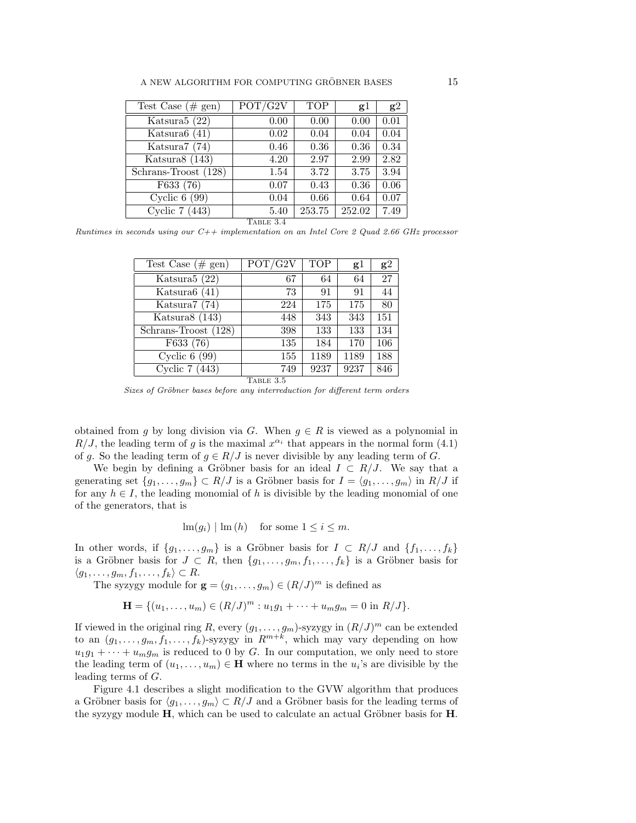| Test Case $(\# \text{ gen})$             | POT/G2V   | <b>TOP</b> | gl     | g2   |
|------------------------------------------|-----------|------------|--------|------|
| Katsura $5(22)$                          | 0.00      | 0.00       | 0.00   | 0.01 |
| Katsura $6(41)$                          | 0.02      | 0.04       | 0.04   | 0.04 |
| Katsura7 (74)                            | 0.46      | 0.36       | 0.36   | 0.34 |
| Katsura $8(143)$                         | 4.20      | 2.97       | 2.99   | 2.82 |
| $\overline{\text{Schrans-Troost}}$ (128) | 1.54      | 3.72       | 3.75   | 3.94 |
| $\overline{\text{F633}}$ (76)            | 0.07      | 0.43       | 0.36   | 0.06 |
| Cyclic $6(99)$                           | 0.04      | 0.66       | 0.64   | 0.07 |
| Cyclic 7 (443)                           | 5.40      | 253.75     | 252.02 | 7.49 |
|                                          | TABLE 3.4 |            |        |      |

Runtimes in seconds using our  $C++$  implementation on an Intel Core 2 Quad 2.66 GHz processor

| Test Case $(\# \text{ gen})$      | POT/G2V | <b>TOP</b> | g1   | g2  |
|-----------------------------------|---------|------------|------|-----|
| Katsura $5(22)$                   | 67      | 64         | 64   | 27  |
| Katsura $6(41)$                   | 73      | 91         | 91   | 44  |
| Katsura7 (74)                     | 224     | 175        | 175  | 80  |
| Katsura $8(143)$                  | 448     | 343        | 343  | 151 |
| Schrans-Troost (128)              | 398     | 133        | 133  | 134 |
| F633 (76)                         | 135     | 184        | 170  | 106 |
| $\overline{\text{Cyclic}}$ 6 (99) | 155     | 1189       | 1189 | 188 |
| Cyclic 7 $(443)$                  | 749     | 9237       | 9237 | 846 |
| TABLE 3.5                         |         |            |      |     |

Sizes of Gröbner bases before any interreduction for different term orders

obtained from g by long division via G. When  $g \in R$  is viewed as a polynomial in  $R/J$ , the leading term of g is the maximal  $x^{\alpha_i}$  that appears in the normal form (4.1) of g. So the leading term of  $g \in R/J$  is never divisible by any leading term of G.

We begin by defining a Gröbner basis for an ideal  $I \subset R/J$ . We say that a generating set  $\{g_1, \ldots, g_m\} \subset R/J$  is a Gröbner basis for  $I = \langle g_1, \ldots, g_m \rangle$  in  $R/J$  if for any  $h \in I$ , the leading monomial of h is divisible by the leading monomial of one of the generators, that is

$$
\operatorname{lm}(g_i) | \operatorname{lm}(h)
$$
 for some  $1 \leq i \leq m$ .

In other words, if  $\{g_1, \ldots, g_m\}$  is a Gröbner basis for  $I \subset R/J$  and  $\{f_1, \ldots, f_k\}$ is a Gröbner basis for  $J \subset R$ , then  $\{g_1, \ldots, g_m, f_1, \ldots, f_k\}$  is a Gröbner basis for  $\langle g_1, \ldots, g_m, f_1, \ldots, f_k \rangle \subset R$ .

The syzygy module for  $\mathbf{g} = (g_1, \ldots, g_m) \in (R/J)^m$  is defined as

$$
\mathbf{H} = \{ (u_1, \dots, u_m) \in (R/J)^m : u_1 g_1 + \dots + u_m g_m = 0 \text{ in } R/J \}.
$$

If viewed in the original ring R, every  $(g_1, \ldots, g_m)$ -syzygy in  $(R/J)^m$  can be extended to an  $(g_1, \ldots, g_m, f_1, \ldots, f_k)$ -syzygy in  $R^{m+k}$ , which may vary depending on how  $u_1g_1 + \cdots + u_mg_m$  is reduced to 0 by G. In our computation, we only need to store the leading term of  $(u_1, \ldots, u_m) \in \mathbf{H}$  where no terms in the  $u_i$ 's are divisible by the leading terms of G.

Figure 4.1 describes a slight modification to the GVW algorithm that produces a Gröbner basis for  $\langle g_1, \ldots, g_m \rangle \subset R/J$  and a Gröbner basis for the leading terms of the syzygy module  $H$ , which can be used to calculate an actual Gröbner basis for  $H$ .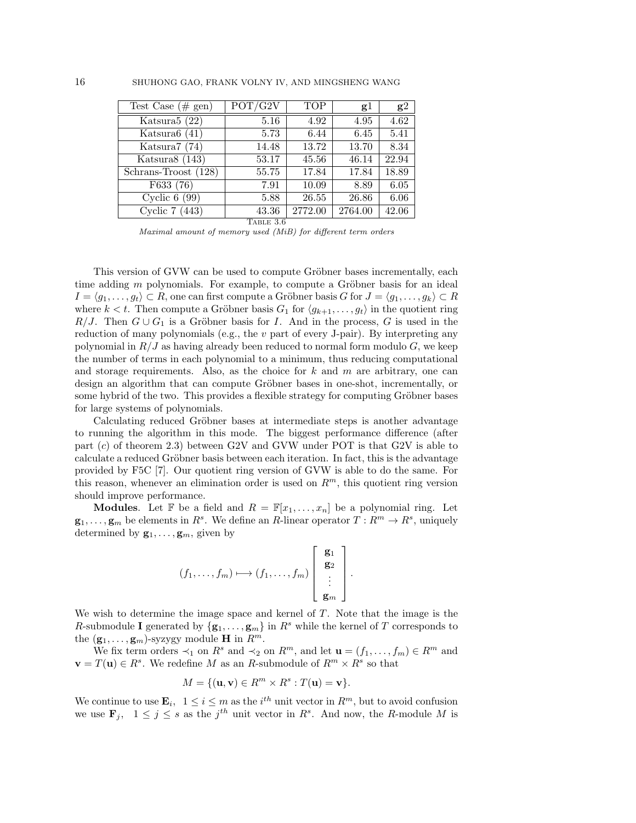| Test Case $(\# \text{ gen})$             | POT/G2V   | <b>TOP</b> | g1      | g2    |
|------------------------------------------|-----------|------------|---------|-------|
| Katsura $5(22)$                          | 5.16      | 4.92       | 4.95    | 4.62  |
| Katsura $6(41)$                          | 5.73      | 6.44       | 6.45    | 5.41  |
| Katsura7 (74)                            | 14.48     | 13.72      | 13.70   | 8.34  |
| Katsura $8(143)$                         | 53.17     | 45.56      | 46.14   | 22.94 |
| $\overline{\text{Schrans-Troost}}$ (128) | 55.75     | 17.84      | 17.84   | 18.89 |
| F633 (76)                                | 7.91      | 10.09      | 8.89    | 6.05  |
| $\overline{\text{Cyclic}}$ 6 (99)        | 5.88      | 26.55      | 26.86   | 6.06  |
| Cyclic 7 $(443)$                         | 43.36     | 2772.00    | 2764.00 | 42.06 |
|                                          | TABLE 3.6 |            |         |       |

Maximal amount of memory used (MiB) for different term orders

This version of GVW can be used to compute Gröbner bases incrementally, each time adding  $m$  polynomials. For example, to compute a Gröbner basis for an ideal  $I = \langle g_1, \ldots, g_t \rangle \subset R$ , one can first compute a Gröbner basis G for  $J = \langle g_1, \ldots, g_k \rangle \subset R$ where  $k < t$ . Then compute a Gröbner basis  $G_1$  for  $\langle g_{k+1}, \ldots, g_t \rangle$  in the quotient ring R/J. Then  $G \cup G_1$  is a Gröbner basis for I. And in the process, G is used in the reduction of many polynomials (e.g., the v part of every J-pair). By interpreting any polynomial in  $R/J$  as having already been reduced to normal form modulo  $G$ , we keep the number of terms in each polynomial to a minimum, thus reducing computational and storage requirements. Also, as the choice for  $k$  and  $m$  are arbitrary, one can design an algorithm that can compute Gröbner bases in one-shot, incrementally, or some hybrid of the two. This provides a flexible strategy for computing Gröbner bases for large systems of polynomials.

Calculating reduced Gröbner bases at intermediate steps is another advantage to running the algorithm in this mode. The biggest performance difference (after part  $(c)$  of theorem 2.3) between G2V and GVW under POT is that G2V is able to calculate a reduced Gröbner basis between each iteration. In fact, this is the advantage provided by F5C [7]. Our quotient ring version of GVW is able to do the same. For this reason, whenever an elimination order is used on  $R^m$ , this quotient ring version should improve performance.

**Modules.** Let **F** be a field and  $R = \mathbb{F}[x_1, \ldots, x_n]$  be a polynomial ring. Let  $\mathbf{g}_1, \ldots, \mathbf{g}_m$  be elements in  $R^s$ . We define an R-linear operator  $T: R^m \to R^s$ , uniquely determined by  $\mathbf{g}_1, \ldots, \mathbf{g}_m$ , given by

$$
(f_1,\ldots,f_m)\longmapsto (f_1,\ldots,f_m)\left[\begin{array}{c}\mathbf{g}_1\\\mathbf{g}_2\\\vdots\\\mathbf{g}_m\end{array}\right].
$$

We wish to determine the image space and kernel of  $T$ . Note that the image is the R-submodule I generated by  $\{g_1, \ldots, g_m\}$  in  $R^s$  while the kernel of T corresponds to the  $(\mathbf{g}_1, \ldots, \mathbf{g}_m)$ -syzygy module **H** in  $R^m$ .

We fix term orders  $\prec_1$  on  $R^s$  and  $\prec_2$  on  $R^m$ , and let  $\mathbf{u} = (f_1, \ldots, f_m) \in R^m$  and  $\mathbf{v} = T(\mathbf{u}) \in R^s$ . We redefine M as an R-submodule of  $R^m \times R^s$  so that

$$
M = \{(\mathbf{u}, \mathbf{v}) \in R^m \times R^s : T(\mathbf{u}) = \mathbf{v}\}.
$$

We continue to use  $\mathbf{E}_i$ ,  $1 \leq i \leq m$  as the  $i^{th}$  unit vector in  $R^m$ , but to avoid confusion we use  $\mathbf{F}_j$ ,  $1 \leq j \leq s$  as the  $j^{th}$  unit vector in  $R^s$ . And now, the R-module M is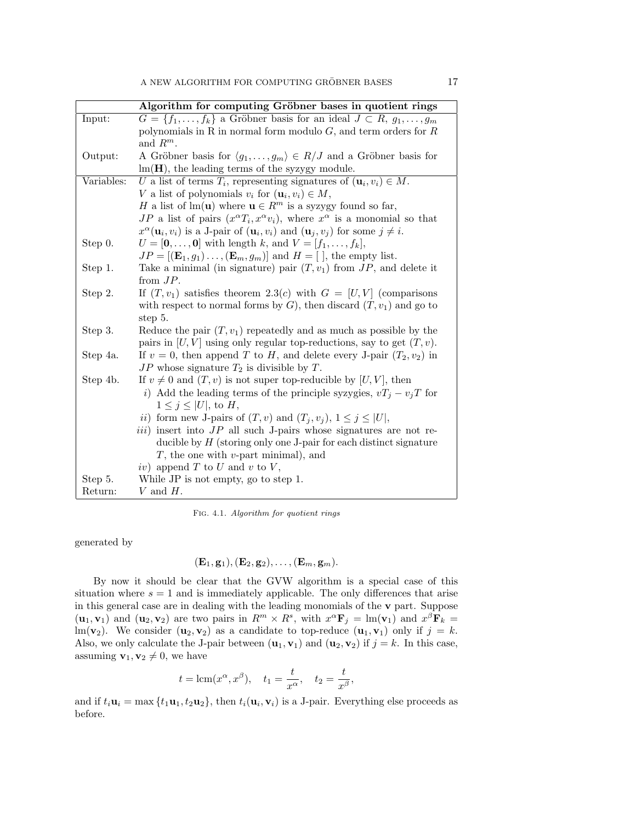|            | Algorithm for computing Gröbner bases in quotient rings                                                              |
|------------|----------------------------------------------------------------------------------------------------------------------|
| Input:     | $G = \{f_1, \ldots, f_k\}$ a Gröbner basis for an ideal $J \subset R$ , $g_1, \ldots, g_m$                           |
|            | polynomials in R in normal form modulo $G$ , and term orders for $R$                                                 |
|            | and $R^m$ .                                                                                                          |
| Output:    | A Gröbner basis for $\langle g_1, \ldots, g_m \rangle \in R/J$ and a Gröbner basis for                               |
|            | $lm(H)$ , the leading terms of the syzygy module.                                                                    |
| Variables: | U a list of terms $T_i$ , representing signatures of $(\mathbf{u}_i, v_i) \in M$ .                                   |
|            | V a list of polynomials $v_i$ for $(\mathbf{u}_i, v_i) \in M$ ,                                                      |
|            | H a list of lm( <b>u</b> ) where $\mathbf{u} \in R^m$ is a syzygy found so far,                                      |
|            | JP a list of pairs $(x^{\alpha}T_i, x^{\alpha}v_i)$ , where $x^{\alpha}$ is a monomial so that                       |
|            | $x^{\alpha}(\mathbf{u}_i, v_i)$ is a J-pair of $(\mathbf{u}_i, v_i)$ and $(\mathbf{u}_j, v_j)$ for some $j \neq i$ . |
| Step 0.    | $U = [0, , 0]$ with length k, and $V = [f_1, , f_k],$                                                                |
|            | $JP = [(\mathbf{E}_1, g_1) \dots, (\mathbf{E}_m, g_m)]$ and $H = [$ , the empty list.                                |
| Step 1.    | Take a minimal (in signature) pair $(T, v_1)$ from $JP$ , and delete it                                              |
|            | from $JP$ .                                                                                                          |
| Step 2.    | If $(T, v_1)$ satisfies theorem 2.3(c) with $G = [U, V]$ (comparisons                                                |
|            | with respect to normal forms by $G$ ), then discard $(T, v_1)$ and go to                                             |
|            | step 5.                                                                                                              |
| Step 3.    | Reduce the pair $(T, v_1)$ repeatedly and as much as possible by the                                                 |
|            | pairs in $[U, V]$ using only regular top-reductions, say to get $(T, v)$ .                                           |
| Step 4a.   | If $v = 0$ , then append T to H, and delete every J-pair $(T_2, v_2)$ in                                             |
|            | $JP$ whose signature $T_2$ is divisible by T.                                                                        |
| Step 4b.   | If $v \neq 0$ and $(T, v)$ is not super top-reducible by $[U, V]$ , then                                             |
|            | <i>i</i> ) Add the leading terms of the principle syzygies, $vT_j - v_jT$ for                                        |
|            | $1 \leq j \leq  U $ , to H,                                                                                          |
|            | <i>ii</i> ) form new J-pairs of $(T, v)$ and $(T_j, v_j)$ , $1 \leq j \leq  U $ ,                                    |
|            | $iii)$ insert into $JP$ all such J-pairs whose signatures are not re-                                                |
|            | ducible by $H$ (storing only one J-pair for each distinct signature                                                  |
|            | $T$ , the one with $v$ -part minimal), and                                                                           |
|            | iv) append $T$ to $U$ and $v$ to $V$ ,                                                                               |
| Step 5.    | While JP is not empty, go to step 1.                                                                                 |
| Return:    | V and $H$ .                                                                                                          |

Fig. 4.1. Algorithm for quotient rings

generated by

$$
(\mathbf{E}_1,\mathbf{g}_1),(\mathbf{E}_2,\mathbf{g}_2),\ldots,(\mathbf{E}_m,\mathbf{g}_m).
$$

By now it should be clear that the GVW algorithm is a special case of this situation where  $s = 1$  and is immediately applicable. The only differences that arise in this general case are in dealing with the leading monomials of the v part. Suppose  $(\mathbf{u}_1, \mathbf{v}_1)$  and  $(\mathbf{u}_2, \mathbf{v}_2)$  are two pairs in  $R^m \times R^s$ , with  $x^{\alpha} \mathbf{F}_j = \text{Im}(\mathbf{v}_1)$  and  $x^{\beta} \mathbf{F}_k =$ lm(**v**<sub>2</sub>). We consider (**u**<sub>2</sub>, **v**<sub>2</sub>) as a candidate to top-reduce (**u**<sub>1</sub>, **v**<sub>1</sub>) only if  $j = k$ . Also, we only calculate the J-pair between  $(\mathbf{u}_1, \mathbf{v}_1)$  and  $(\mathbf{u}_2, \mathbf{v}_2)$  if  $j = k$ . In this case, assuming  $\mathbf{v}_1, \mathbf{v}_2 \neq 0$ , we have

$$
t = \text{lcm}(x^{\alpha}, x^{\beta}), \quad t_1 = \frac{t}{x^{\alpha}}, \quad t_2 = \frac{t}{x^{\beta}},
$$

and if  $t_i$ **u**<sub>i</sub> = max { $t_1$ **u**<sub>1</sub>,  $t_2$ **u**<sub>2</sub>}, then  $t_i$ **(u**<sub>i</sub>, **v**<sub>i</sub>) is a J-pair. Everything else proceeds as before.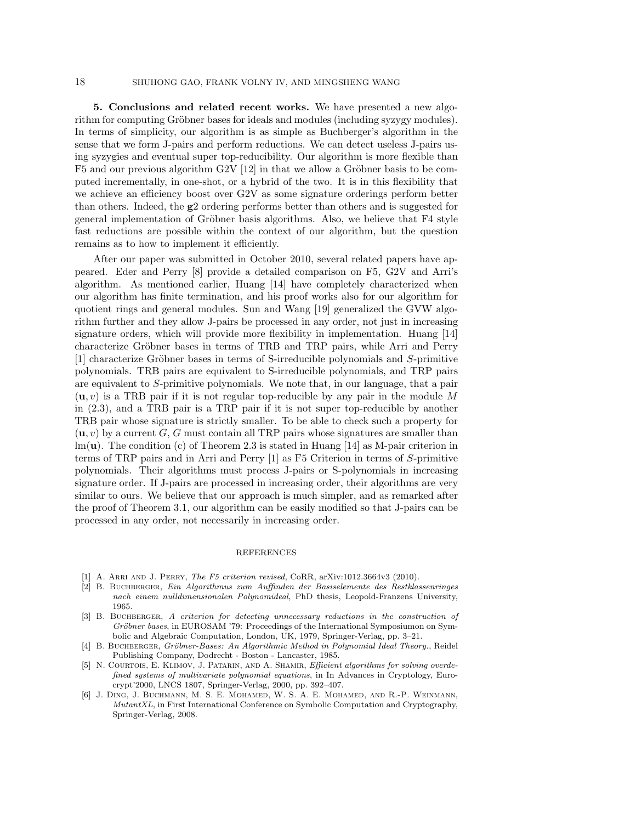## 18 SHUHONG GAO, FRANK VOLNY IV, AND MINGSHENG WANG

5. Conclusions and related recent works. We have presented a new algorithm for computing Gröbner bases for ideals and modules (including syzygy modules). In terms of simplicity, our algorithm is as simple as Buchberger's algorithm in the sense that we form J-pairs and perform reductions. We can detect useless J-pairs using syzygies and eventual super top-reducibility. Our algorithm is more flexible than F5 and our previous algorithm G2V  $[12]$  in that we allow a Gröbner basis to be computed incrementally, in one-shot, or a hybrid of the two. It is in this flexibility that we achieve an efficiency boost over G2V as some signature orderings perform better than others. Indeed, the g2 ordering performs better than others and is suggested for general implementation of Gröbner basis algorithms. Also, we believe that F4 style fast reductions are possible within the context of our algorithm, but the question remains as to how to implement it efficiently.

After our paper was submitted in October 2010, several related papers have appeared. Eder and Perry [8] provide a detailed comparison on F5, G2V and Arri's algorithm. As mentioned earlier, Huang [14] have completely characterized when our algorithm has finite termination, and his proof works also for our algorithm for quotient rings and general modules. Sun and Wang [19] generalized the GVW algorithm further and they allow J-pairs be processed in any order, not just in increasing signature orders, which will provide more flexibility in implementation. Huang [14] characterize Gröbner bases in terms of TRB and TRP pairs, while Arri and Perry  $[1]$  characterize Gröbner bases in terms of S-irreducible polynomials and S-primitive polynomials. TRB pairs are equivalent to S-irreducible polynomials, and TRP pairs are equivalent to S-primitive polynomials. We note that, in our language, that a pair  $(u, v)$  is a TRB pair if it is not regular top-reducible by any pair in the module M in (2.3), and a TRB pair is a TRP pair if it is not super top-reducible by another TRB pair whose signature is strictly smaller. To be able to check such a property for  $(u, v)$  by a current G, G must contain all TRP pairs whose signatures are smaller than  $lm(\mathbf{u})$ . The condition (c) of Theorem 2.3 is stated in Huang [14] as M-pair criterion in terms of TRP pairs and in Arri and Perry [1] as F5 Criterion in terms of S-primitive polynomials. Their algorithms must process J-pairs or S-polynomials in increasing signature order. If J-pairs are processed in increasing order, their algorithms are very similar to ours. We believe that our approach is much simpler, and as remarked after the proof of Theorem 3.1, our algorithm can be easily modified so that J-pairs can be processed in any order, not necessarily in increasing order.

## REFERENCES

- [1] A. ARRI AND J. PERRY, *The F5 criterion revised*, CoRR, arXiv:1012.3664v3 (2010).
- [2] B. Buchberger, Ein Algorithmus zum Auffinden der Basiselemente des Restklassenringes nach einem nulldimensionalen Polynomideal, PhD thesis, Leopold-Franzens University, 1965.
- [3] B. BUCHBERGER, A criterion for detecting unnecessary reductions in the construction of Gröbner bases, in EUROSAM '79: Proceedings of the International Symposiumon on Symbolic and Algebraic Computation, London, UK, 1979, Springer-Verlag, pp. 3–21.
- [4] B. BUCHBERGER, Gröbner-Bases: An Algorithmic Method in Polynomial Ideal Theory., Reidel Publishing Company, Dodrecht - Boston - Lancaster, 1985.
- [5] N. COURTOIS, E. KLIMOV, J. PATARIN, AND A. SHAMIR, *Efficient algorithms for solving overde*fined systems of multivariate polynomial equations, in In Advances in Cryptology, Eurocrypt'2000, LNCS 1807, Springer-Verlag, 2000, pp. 392–407.
- [6] J. Ding, J. Buchmann, M. S. E. Mohamed, W. S. A. E. Mohamed, and R.-P. Weinmann, MutantXL, in First International Conference on Symbolic Computation and Cryptography, Springer-Verlag, 2008.